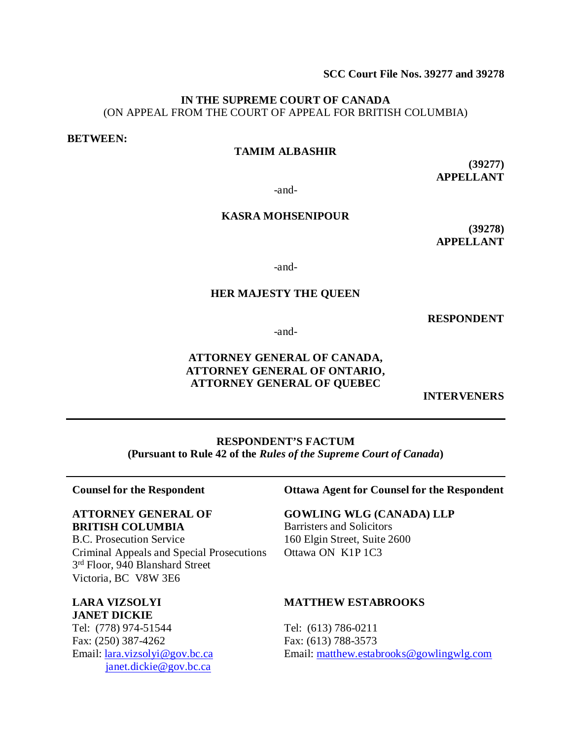**SCC Court File Nos. 39277 and 39278**

## **IN THE SUPREME COURT OF CANADA** (ON APPEAL FROM THE COURT OF APPEAL FOR BRITISH COLUMBIA)

#### **BETWEEN:**

# **TAMIM ALBASHIR**

**(39277) APPELLANT**

-and-

# **KASRA MOHSENIPOUR**

**(39278) APPELLANT**

-and-

#### **HER MAJESTY THE QUEEN**

**RESPONDENT**

-and-

# **ATTORNEY GENERAL OF CANADA, ATTORNEY GENERAL OF ONTARIO, ATTORNEY GENERAL OF QUEBEC**

**INTERVENERS**

**RESPONDENT'S FACTUM (Pursuant to Rule 42 of the** *Rules of the Supreme Court of Canada***)**

#### **Counsel for the Respondent**

# **ATTORNEY GENERAL OF BRITISH COLUMBIA**

B.C. Prosecution Service Criminal Appeals and Special Prosecutions 3rd Floor, 940 Blanshard Street Victoria, BC V8W 3E6

# **LARA VIZSOLYI JANET DICKIE**

Tel: (778) 974-51544 Fax: (250) 387-4262 Email: [lara.vizsolyi@gov.bc.ca](mailto:lara.vizsolyi@gov.bc.ca) [janet.dickie@gov.bc.ca](mailto:janet.dickie@gov.bc.ca)

### **Ottawa Agent for Counsel for the Respondent**

**GOWLING WLG (CANADA) LLP** Barristers and Solicitors 160 Elgin Street, Suite 2600 Ottawa ON K1P 1C3

#### **MATTHEW ESTABROOKS**

Tel: (613) 786-0211 Fax: (613) 788-3573 Email: [matthew.estabrooks@gowlingwlg.com](mailto:matthew.estabrooks@gowlingwlg.com)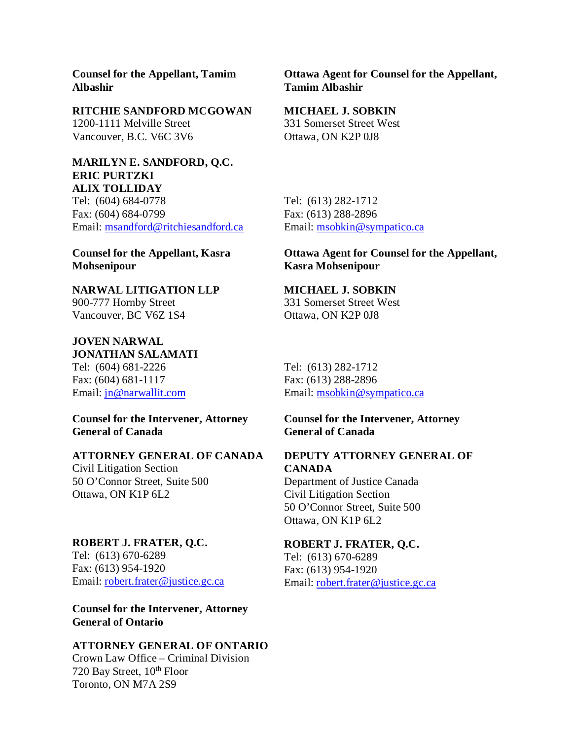**Counsel for the Appellant, Tamim Albashir**

#### **RITCHIE SANDFORD MCGOWAN**

1200-1111 Melville Street Vancouver, B.C. V6C 3V6

#### **MARILYN E. SANDFORD, Q.C. ERIC PURTZKI ALIX TOLLIDAY**

Tel: (604) 684-0778 Fax: (604) 684-0799 Email: [msandford@ritchiesandford.ca](mailto:msandford@ritchiesandford.ca)

**Counsel for the Appellant, Kasra Mohsenipour**

**NARWAL LITIGATION LLP** 900-777 Hornby Street Vancouver, BC V6Z 1S4

**JOVEN NARWAL JONATHAN SALAMATI** Tel: (604) 681-2226 Fax: (604) 681-1117 Email: [jn@narwallit.com](mailto:jn@narwallit.com) 

**Counsel for the Intervener, Attorney General of Canada**

# **ATTORNEY GENERAL OF CANADA**

Civil Litigation Section 50 O'Connor Street, Suite 500 Ottawa, ON K1P 6L2

#### **ROBERT J. FRATER, Q.C.**

Tel: (613) 670-6289 Fax: (613) 954-1920 Email: [robert.frater@justice.gc.ca](mailto:robert.frater@justice.gc.ca)

**Counsel for the Intervener, Attorney General of Ontario**

### **ATTORNEY GENERAL OF ONTARIO**

Crown Law Office – Criminal Division 720 Bay Street, 10<sup>th</sup> Floor Toronto, ON M7A 2S9

**Ottawa Agent for Counsel for the Appellant, Tamim Albashir**

#### **MICHAEL J. SOBKIN**

331 Somerset Street West Ottawa, ON K2P 0J8

Tel: (613) 282-1712 Fax: (613) 288-2896 Email: [msobkin@sympatico.ca](mailto:msobkin@sympatico.ca)

# **Ottawa Agent for Counsel for the Appellant, Kasra Mohsenipour**

## **MICHAEL J. SOBKIN**

331 Somerset Street West Ottawa, ON K2P 0J8

Tel: (613) 282-1712 Fax: (613) 288-2896 Email: [msobkin@sympatico.ca](mailto:msobkin@sympatico.ca)

## **Counsel for the Intervener, Attorney General of Canada**

### **DEPUTY ATTORNEY GENERAL OF CANADA**

Department of Justice Canada Civil Litigation Section 50 O'Connor Street, Suite 500 Ottawa, ON K1P 6L2

### **ROBERT J. FRATER, Q.C.**

Tel: (613) 670-6289 Fax: (613) 954-1920 Email: [robert.frater@justice.gc.ca](mailto:robert.frater@justice.gc.ca)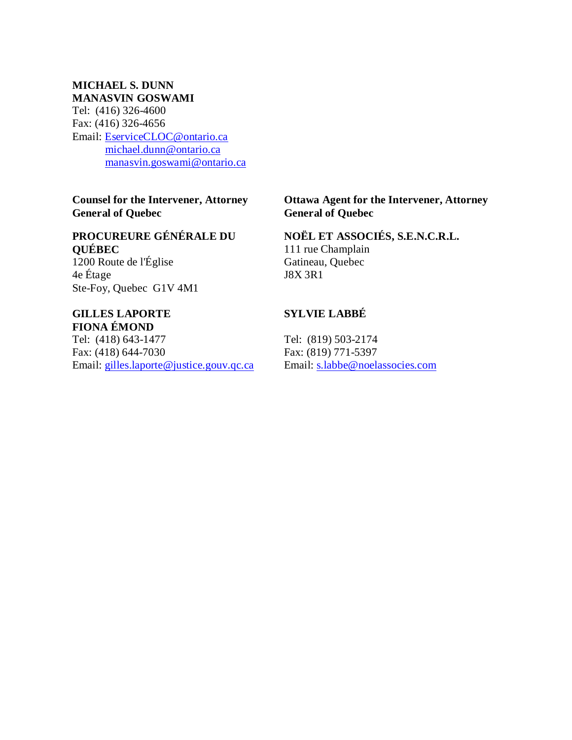### **MICHAEL S. DUNN MANASVIN GOSWAMI**

Tel: (416) 326-4600 Fax: (416) 326-4656 Email: [EserviceCLOC@ontario.ca](mailto:EserviceCLOC@ontario.ca) [michael.dunn@ontario.ca](mailto:michael.dunn@ontario.ca) [manasvin.goswami@ontario.ca](mailto:manasvin.goswami@ontario.ca)

**Counsel for the Intervener, Attorney General of Quebec**

# **PROCUREURE GÉNÉRALE DU QUÉBEC**

1200 Route de l'Église 4e Étage Ste-Foy, Quebec G1V 4M1

# **GILLES LAPORTE FIONA ÉMOND**

Tel: (418) 643-1477 Fax: (418) 644-7030 Email: [gilles.laporte@justice.gouv.qc.ca](mailto:gilles.laporte@justice.gouv.qc.ca)

# **Ottawa Agent for the Intervener, Attorney General of Quebec**

# **NOËL ET ASSOCIÉS, S.E.N.C.R.L.**

111 rue Champlain Gatineau, Quebec J8X 3R1

# **SYLVIE LABBÉ**

Tel: (819) 503-2174 Fax: (819) 771-5397 Email: [s.labbe@noelassocies.com](mailto:s.labbe@noelassocies.com)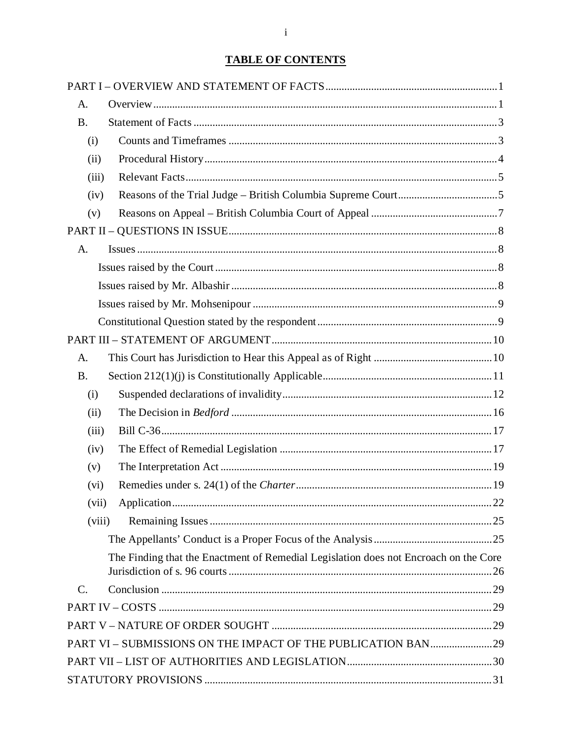# **TABLE OF CONTENTS**

| A.                                                                                   |  |
|--------------------------------------------------------------------------------------|--|
| <b>B.</b>                                                                            |  |
| (i)                                                                                  |  |
| (ii)                                                                                 |  |
| (iii)                                                                                |  |
| (iv)                                                                                 |  |
| (v)                                                                                  |  |
|                                                                                      |  |
| A.                                                                                   |  |
|                                                                                      |  |
|                                                                                      |  |
|                                                                                      |  |
|                                                                                      |  |
|                                                                                      |  |
| A.                                                                                   |  |
| <b>B.</b>                                                                            |  |
| (i)                                                                                  |  |
| (ii)                                                                                 |  |
| (iii)                                                                                |  |
| (iv)                                                                                 |  |
| (v)                                                                                  |  |
| (vi)                                                                                 |  |
| (vii)                                                                                |  |
| (viii)                                                                               |  |
|                                                                                      |  |
| The Finding that the Enactment of Remedial Legislation does not Encroach on the Core |  |
| C.                                                                                   |  |
|                                                                                      |  |
|                                                                                      |  |
| PART VI - SUBMISSIONS ON THE IMPACT OF THE PUBLICATION BAN29                         |  |
|                                                                                      |  |
|                                                                                      |  |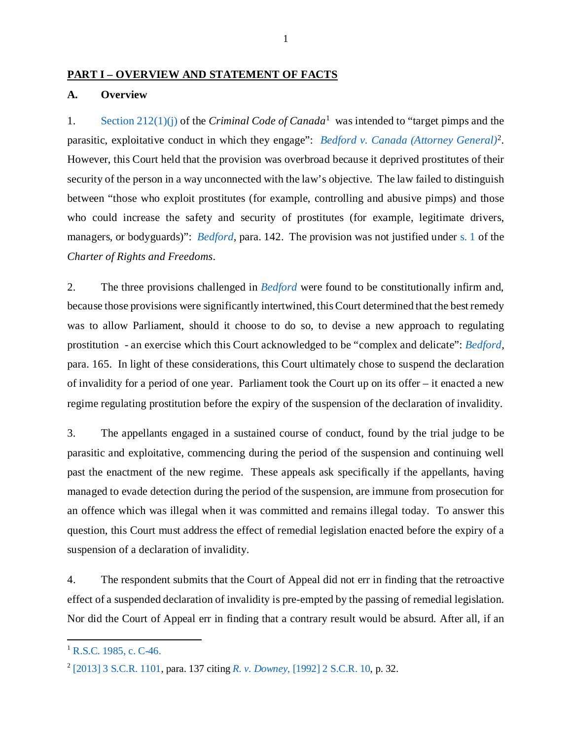### <span id="page-4-0"></span>**PART I – OVERVIEW AND STATEMENT OF FACTS**

### <span id="page-4-1"></span>**A. Overview**

1. Section [212\(1\)\(j\)](https://laws-lois.justice.gc.ca/eng/acts/C-46/section-212-20051101.html) of the *Criminal Code of Canada*[1](#page-4-2) was intended to "target pimps and the parasitic, exploitative conduct in which they engage": *[Bedford v. Canada \(Attorney General\)](https://scc-csc.lexum.com/scc-csc/scc-csc/en/13389/1/document.do)*[2.](#page-4-3) However, this Court held that the provision was overbroad because it deprived prostitutes of their security of the person in a way unconnected with the law's objective. The law failed to distinguish between "those who exploit prostitutes (for example, controlling and abusive pimps) and those who could increase the safety and security of prostitutes (for example, legitimate drivers, managers, or bodyguards)": *[Bedford](https://scc-csc.lexum.com/scc-csc/scc-csc/en/13389/1/document.do)*, para. 142. The provision was not justified under [s. 1](https://www.justice.gc.ca/eng/csj-sjc/rfc-dlc/ccrf-ccdl/check/art1.html) of the *Charter of Rights and Freedoms*.

2. The three provisions challenged in *[Bedford](https://scc-csc.lexum.com/scc-csc/scc-csc/en/13389/1/document.do)* were found to be constitutionally infirm and, because those provisions were significantly intertwined, this Court determined that the best remedy was to allow Parliament, should it choose to do so, to devise a new approach to regulating prostitution - an exercise which this Court acknowledged to be "complex and delicate": *[Bedford,](https://scc-csc.lexum.com/scc-csc/scc-csc/en/13389/1/document.do)*  para. 165. In light of these considerations, this Court ultimately chose to suspend the declaration of invalidity for a period of one year. Parliament took the Court up on its offer – it enacted a new regime regulating prostitution before the expiry of the suspension of the declaration of invalidity.

3. The appellants engaged in a sustained course of conduct, found by the trial judge to be parasitic and exploitative, commencing during the period of the suspension and continuing well past the enactment of the new regime. These appeals ask specifically if the appellants, having managed to evade detection during the period of the suspension, are immune from prosecution for an offence which was illegal when it was committed and remains illegal today. To answer this question, this Court must address the effect of remedial legislation enacted before the expiry of a suspension of a declaration of invalidity.

4. The respondent submits that the Court of Appeal did not err in finding that the retroactive effect of a suspended declaration of invalidity is pre-empted by the passing of remedial legislation. Nor did the Court of Appeal err in finding that a contrary result would be absurd. After all, if an

<span id="page-4-2"></span> $1$  [R.S.C. 1985, c. C-46.](https://laws-lois.justice.gc.ca/eng/acts/C-46/section-212-20051101.html)

<span id="page-4-3"></span><sup>2</sup> [\[2013\] 3 S.C.R. 1101,](https://scc-csc.lexum.com/scc-csc/scc-csc/en/13389/1/document.do) para. 137 citing *R. v. Downey,* [\[1992\] 2 S.C.R. 10,](https://scc-csc.lexum.com/scc-csc/scc-csc/en/879/1/document.do) p. 32.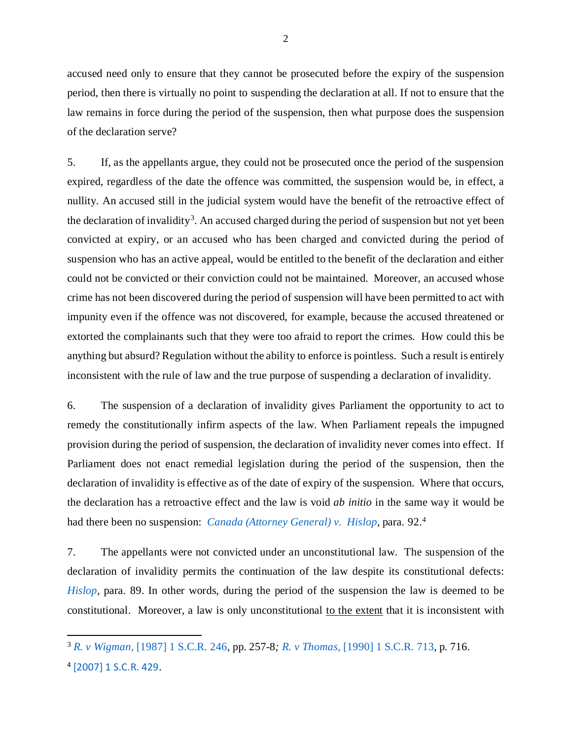accused need only to ensure that they cannot be prosecuted before the expiry of the suspension period, then there is virtually no point to suspending the declaration at all. If not to ensure that the law remains in force during the period of the suspension, then what purpose does the suspension of the declaration serve?

5. If, as the appellants argue, they could not be prosecuted once the period of the suspension expired, regardless of the date the offence was committed, the suspension would be, in effect, a nullity. An accused still in the judicial system would have the benefit of the retroactive effect of the declaration of invalidity<sup>[3](#page-5-0)</sup>. An accused charged during the period of suspension but not yet been convicted at expiry, or an accused who has been charged and convicted during the period of suspension who has an active appeal, would be entitled to the benefit of the declaration and either could not be convicted or their conviction could not be maintained. Moreover, an accused whose crime has not been discovered during the period of suspension will have been permitted to act with impunity even if the offence was not discovered, for example, because the accused threatened or extorted the complainants such that they were too afraid to report the crimes. How could this be anything but absurd? Regulation without the ability to enforce is pointless. Such a result is entirely inconsistent with the rule of law and the true purpose of suspending a declaration of invalidity.

6. The suspension of a declaration of invalidity gives Parliament the opportunity to act to remedy the constitutionally infirm aspects of the law. When Parliament repeals the impugned provision during the period of suspension, the declaration of invalidity never comes into effect. If Parliament does not enact remedial legislation during the period of the suspension, then the declaration of invalidity is effective as of the date of expiry of the suspension. Where that occurs, the declaration has a retroactive effect and the law is void *ab initio* in the same way it would be had there been no suspension: *[Canada \(Attorney General\) v. Hislop](https://scc-csc.lexum.com/scc-csc/scc-csc/en/2346/1/document.do)*, para. 92.[4](#page-5-1)

7. The appellants were not convicted under an unconstitutional law. The suspension of the declaration of invalidity permits the continuation of the law despite its constitutional defects: *Hislop*, para. 89. In other words, during the period of the suspension the law is deemed to be constitutional. Moreover, a law is only unconstitutional to the extent that it is inconsistent with

 $\overline{a}$ 

<span id="page-5-0"></span><sup>3</sup> *R. v Wigman,* [\[1987\] 1 S.C.R. 246](https://decisions.scc-csc.ca/scc-csc/scc-csc/en/200/1/document.do)*,* pp. 257-8*; R. v Thomas,* [\[1990\] 1 S.C.R. 713,](https://decisions.scc-csc.ca/scc-csc/scc-csc/en/589/1/document.do) p. 716.

<span id="page-5-1"></span><sup>4</sup> [\[2007\] 1 S.C.R. 429.](https://scc-csc.lexum.com/scc-csc/scc-csc/en/2346/1/document.do)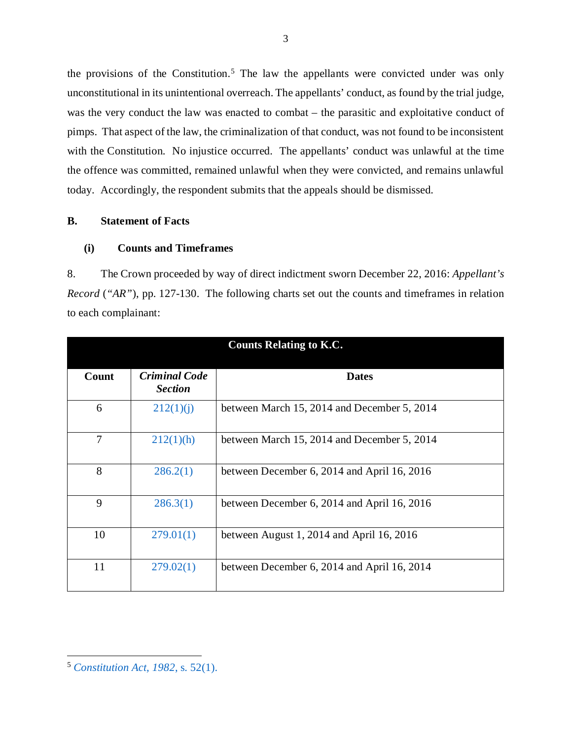the provisions of the Constitution.<sup>[5](#page-6-2)</sup> The law the appellants were convicted under was only unconstitutional in its unintentional overreach. The appellants' conduct, as found by the trial judge, was the very conduct the law was enacted to combat – the parasitic and exploitative conduct of pimps. That aspect of the law, the criminalization of that conduct, was not found to be inconsistent with the Constitution. No injustice occurred. The appellants' conduct was unlawful at the time the offence was committed, remained unlawful when they were convicted, and remains unlawful today. Accordingly, the respondent submits that the appeals should be dismissed.

# <span id="page-6-0"></span>**B. Statement of Facts**

### <span id="page-6-1"></span>**(i) Counts and Timeframes**

8. The Crown proceeded by way of direct indictment sworn December 22, 2016: *Appellant's Record* (*"AR"*), pp. 127-130. The following charts set out the counts and timeframes in relation to each complainant:

| <b>Counts Relating to K.C.</b> |                                        |                                             |
|--------------------------------|----------------------------------------|---------------------------------------------|
| Count                          | <b>Criminal Code</b><br><b>Section</b> | <b>Dates</b>                                |
| 6                              | 212(1)(i)                              | between March 15, 2014 and December 5, 2014 |
| 7                              | 212(1)(h)                              | between March 15, 2014 and December 5, 2014 |
| 8                              | 286.2(1)                               | between December 6, 2014 and April 16, 2016 |
| 9                              | 286.3(1)                               | between December 6, 2014 and April 16, 2016 |
| 10                             | 279.01(1)                              | between August 1, 2014 and April 16, 2016   |
| 11                             | 279.02(1)                              | between December 6, 2014 and April 16, 2014 |

<span id="page-6-2"></span><sup>5</sup> *[Constitution Act, 1982](https://laws-lois.justice.gc.ca/PDF/CONST_E.pdf)*, s. 52(1).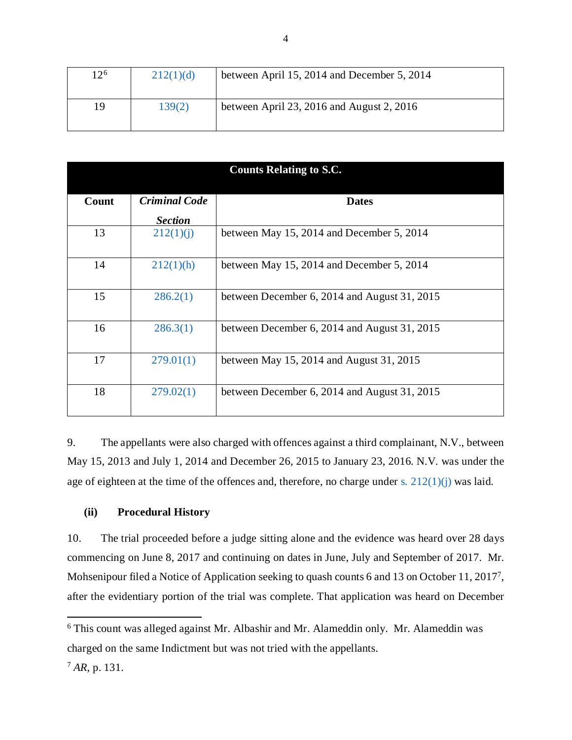| $12^{6}$ | 212(1)(d) | between April 15, 2014 and December 5, 2014 |
|----------|-----------|---------------------------------------------|
| 19       | 139(2)    | between April 23, 2016 and August 2, 2016   |

| <b>Counts Relating to S.C.</b> |                             |                                              |
|--------------------------------|-----------------------------|----------------------------------------------|
| Count                          | <b>Criminal Code</b>        | <b>Dates</b>                                 |
| 13                             | <b>Section</b><br>212(1)(i) | between May 15, 2014 and December 5, 2014    |
| 14                             | 212(1)(h)                   | between May 15, 2014 and December 5, 2014    |
| 15                             | 286.2(1)                    | between December 6, 2014 and August 31, 2015 |
| 16                             | 286.3(1)                    | between December 6, 2014 and August 31, 2015 |
| 17                             | 279.01(1)                   | between May 15, 2014 and August $31, 2015$   |
| 18                             | 279.02(1)                   | between December 6, 2014 and August 31, 2015 |

9. The appellants were also charged with offences against a third complainant, N.V., between May 15, 2013 and July 1, 2014 and December 26, 2015 to January 23, 2016. N.V. was under the age of eighteen at the time of the offences and, therefore, no charge under s.  $212(1)(i)$  was laid.

### <span id="page-7-0"></span>**(ii) Procedural History**

10. The trial proceeded before a judge sitting alone and the evidence was heard over 28 days commencing on June 8, 2017 and continuing on dates in June, July and September of 2017. Mr. Mohsenipour filed a Notice of Application seeking to quash counts 6 and 13 on October 11, 2017<sup>7</sup>, after the evidentiary portion of the trial was complete. That application was heard on December

<span id="page-7-2"></span> $6$  This count was alleged against Mr. Albashir and Mr. Alameddin only. Mr. Alameddin was charged on the same Indictment but was not tried with the appellants.

<span id="page-7-1"></span><sup>7</sup> *AR,* p. 131.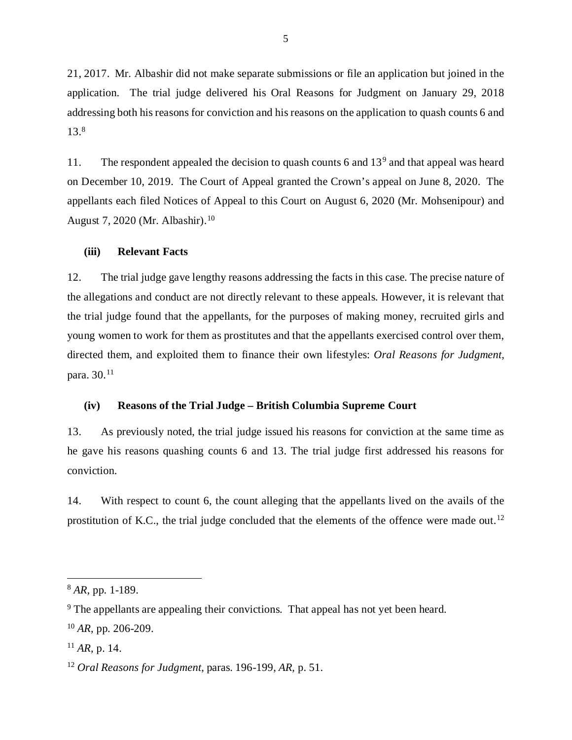21, 2017. Mr. Albashir did not make separate submissions or file an application but joined in the application. The trial judge delivered his Oral Reasons for Judgment on January 29, 2018 addressing both his reasons for conviction and his reasons on the application to quash counts 6 and 13[.8](#page-8-2)

11. The respondent appealed the decision to quash counts 6 and 13<sup>[9](#page-8-3)</sup> and that appeal was heard on December 10, 2019. The Court of Appeal granted the Crown's appeal on June 8, 2020. The appellants each filed Notices of Appeal to this Court on August 6, 2020 (Mr. Mohsenipour) and August 7, 2020 (Mr. Albashir).[10](#page-8-4)

### <span id="page-8-0"></span>**(iii) Relevant Facts**

12. The trial judge gave lengthy reasons addressing the facts in this case. The precise nature of the allegations and conduct are not directly relevant to these appeals. However, it is relevant that the trial judge found that the appellants, for the purposes of making money, recruited girls and young women to work for them as prostitutes and that the appellants exercised control over them, directed them, and exploited them to finance their own lifestyles: *Oral Reasons for Judgment,*  para. 30.[11](#page-8-5)

#### <span id="page-8-1"></span>**(iv) Reasons of the Trial Judge – British Columbia Supreme Court**

13. As previously noted, the trial judge issued his reasons for conviction at the same time as he gave his reasons quashing counts 6 and 13. The trial judge first addressed his reasons for conviction.

14. With respect to count 6, the count alleging that the appellants lived on the avails of the prostitution of K.C., the trial judge concluded that the elements of the offence were made out.<sup>[12](#page-8-6)</sup>

 $\overline{\phantom{a}}$ 

<span id="page-8-2"></span><sup>8</sup> *AR,* pp. 1-189.

<span id="page-8-3"></span><sup>&</sup>lt;sup>9</sup> The appellants are appealing their convictions. That appeal has not yet been heard.

<span id="page-8-4"></span><sup>10</sup> *AR,* pp. 206-209.

<span id="page-8-5"></span><sup>11</sup> *AR,* p. 14.

<span id="page-8-6"></span><sup>12</sup> *Oral Reasons for Judgment*, paras. 196-199, *AR,* p. 51.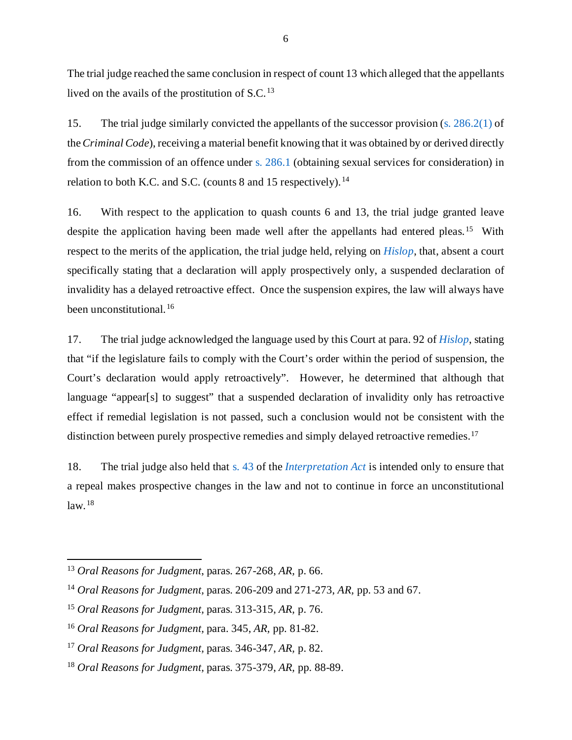The trial judge reached the same conclusion in respect of count 13 which alleged that the appellants lived on the avails of the prostitution of S.C. [13](#page-9-0)

15. The trial judge similarly convicted the appellants of the successor provision [\(s. 286.2\(1\)](https://laws-lois.justice.gc.ca/eng/annualstatutes/2014_25/FullText.html#:%7E:text=286.2%20(1)%20Everyone%20who%20receives,not%20more%20than%2010%20years.) of the *Criminal Code*), receiving a material benefit knowing that it was obtained by or derived directly from the commission of an offence under [s. 286.1](https://laws-lois.justice.gc.ca/eng/acts/c-46/section-286.1-20190919.html) (obtaining sexual services for consideration) in relation to both K.C. and S.C. (counts  $8$  and  $15$  respectively).<sup>[14](#page-9-1)</sup>

16. With respect to the application to quash counts 6 and 13, the trial judge granted leave despite the application having been made well after the appellants had entered pleas.<sup>15</sup> With respect to the merits of the application, the trial judge held, relying on *[Hislop](https://scc-csc.lexum.com/scc-csc/scc-csc/en/2346/1/document.do)*, that, absent a court specifically stating that a declaration will apply prospectively only, a suspended declaration of invalidity has a delayed retroactive effect. Once the suspension expires, the law will always have been unconstitutional.<sup>[16](#page-9-3)</sup>

17. The trial judge acknowledged the language used by this Court at para. 92 of *[Hislop](https://scc-csc.lexum.com/scc-csc/scc-csc/en/2346/1/document.do)*, stating that "if the legislature fails to comply with the Court's order within the period of suspension, the Court's declaration would apply retroactively". However, he determined that although that language "appear[s] to suggest" that a suspended declaration of invalidity only has retroactive effect if remedial legislation is not passed, such a conclusion would not be consistent with the distinction between purely prospective remedies and simply delayed retroactive remedies.<sup>[17](#page-9-4)</sup>

18. The trial judge also held that [s. 43](https://laws-lois.justice.gc.ca/eng/acts/i-21/page-6.html#h-279653) of the *[Interpretation Act](https://laws-lois.justice.gc.ca/PDF/I-21.pdf)* is intended only to ensure that a repeal makes prospective changes in the law and not to continue in force an unconstitutional  $law.$ <sup>[18](#page-9-5)</sup>

 $\overline{a}$ 

<span id="page-9-0"></span><sup>13</sup> *Oral Reasons for Judgment*, paras. 267-268, *AR,* p. 66.

<span id="page-9-1"></span><sup>14</sup> *Oral Reasons for Judgment,* paras. 206-209 and 271-273, *AR,* pp. 53 and 67.

<span id="page-9-2"></span><sup>15</sup> *Oral Reasons for Judgment,* paras. 313-315, *AR,* p. 76.

<span id="page-9-3"></span><sup>16</sup> *Oral Reasons for Judgment,* para. 345, *AR,* pp. 81-82.

<span id="page-9-4"></span><sup>17</sup> *Oral Reasons for Judgment,* paras. 346-347, *AR,* p. 82.

<span id="page-9-5"></span><sup>18</sup> *Oral Reasons for Judgment,* paras. 375-379, *AR,* pp. 88-89.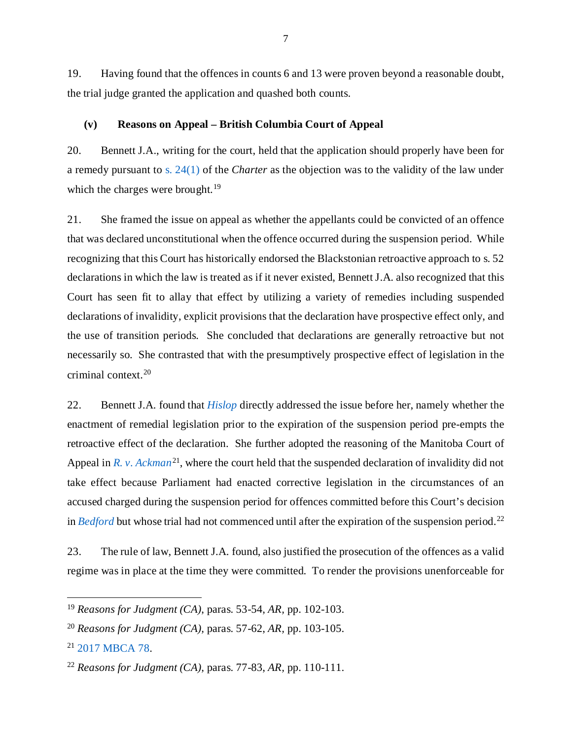19. Having found that the offences in counts 6 and 13 were proven beyond a reasonable doubt, the trial judge granted the application and quashed both counts.

#### <span id="page-10-0"></span>**(v) Reasons on Appeal – British Columbia Court of Appeal**

20. Bennett J.A., writing for the court, held that the application should properly have been for a remedy pursuant to [s. 24\(1\)](https://www.justice.gc.ca/eng/csj-sjc/rfc-dlc/ccrf-ccdl/check/art241.html) of the *Charter* as the objection was to the validity of the law under which the charges were brought.<sup>[19](#page-10-1)</sup>

21. She framed the issue on appeal as whether the appellants could be convicted of an offence that was declared unconstitutional when the offence occurred during the suspension period. While recognizing that this Court has historically endorsed the Blackstonian retroactive approach to s. 52 declarations in which the law is treated as if it never existed, Bennett J.A. also recognized that this Court has seen fit to allay that effect by utilizing a variety of remedies including suspended declarations of invalidity, explicit provisions that the declaration have prospective effect only, and the use of transition periods. She concluded that declarations are generally retroactive but not necessarily so. She contrasted that with the presumptively prospective effect of legislation in the criminal context.[20](#page-10-2)

22. Bennett J.A. found that *[Hislop](https://scc-csc.lexum.com/scc-csc/scc-csc/en/2346/1/document.do)* directly addressed the issue before her, namely whether the enactment of remedial legislation prior to the expiration of the suspension period pre-empts the retroactive effect of the declaration. She further adopted the reasoning of the Manitoba Court of Appeal in *[R. v. Ackman](https://canlii.ca/t/h5p5j)*<sup>21</sup>, where the court held that the suspended declaration of invalidity did not take effect because Parliament had enacted corrective legislation in the circumstances of an accused charged during the suspension period for offences committed before this Court's decision in *[Bedford](https://scc-csc.lexum.com/scc-csc/scc-csc/en/13389/1/document.do)* but whose trial had not commenced until after the expiration of the suspension period.<sup>[22](#page-10-4)</sup>

23. The rule of law, Bennett J.A. found, also justified the prosecution of the offences as a valid regime was in place at the time they were committed. To render the provisions unenforceable for

<span id="page-10-1"></span><sup>19</sup> *Reasons for Judgment (CA)*, paras. 53-54, *AR,* pp. 102-103.

<span id="page-10-2"></span><sup>20</sup> *Reasons for Judgment (CA),* paras. 57-62, *AR,* pp. 103-105.

<span id="page-10-3"></span><sup>21</sup> [2017 MBCA 78.](https://canlii.ca/t/h5p5j)

<span id="page-10-4"></span><sup>22</sup> *Reasons for Judgment (CA),* paras. 77-83, *AR,* pp. 110-111.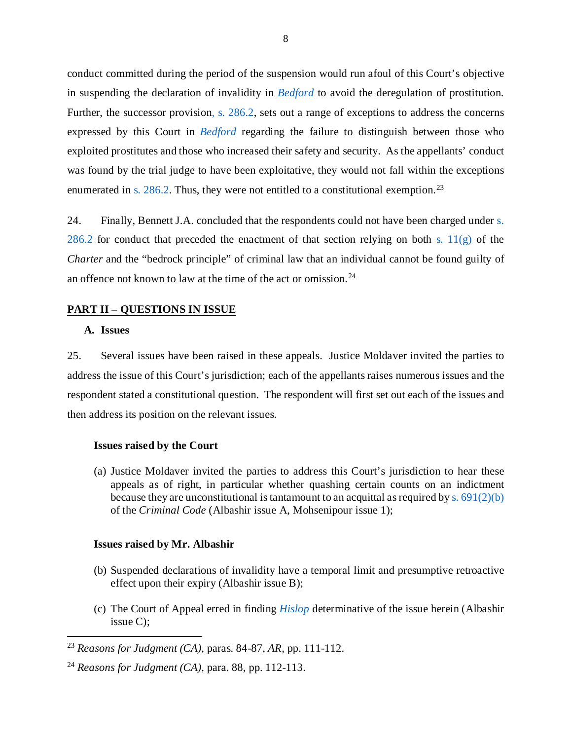conduct committed during the period of the suspension would run afoul of this Court's objective in suspending the declaration of invalidity in *[Bedford](https://scc-csc.lexum.com/scc-csc/scc-csc/en/13389/1/document.do)* to avoid the deregulation of prostitution. Further, the successor provisio[n, s. 286.2,](https://laws-lois.justice.gc.ca/eng/annualstatutes/2014_25/FullText.html#:%7E:text=286.2%20(1)%20Everyone%20who%20receives,not%20more%20than%2010%20years.) sets out a range of exceptions to address the concerns expressed by this Court in *[Bedford](https://scc-csc.lexum.com/scc-csc/scc-csc/en/13389/1/document.do)* regarding the failure to distinguish between those who exploited prostitutes and those who increased their safety and security. As the appellants' conduct was found by the trial judge to have been exploitative, they would not fall within the exceptions enumerated in [s. 286.2.](https://laws-lois.justice.gc.ca/eng/annualstatutes/2014_25/FullText.html#:%7E:text=286.2%20(1)%20Everyone%20who%20receives,not%20more%20than%2010%20years.) Thus, they were not entitled to a constitutional exemption.<sup>[23](#page-11-4)</sup>

24. Finally, Bennett J.A. concluded that the respondents could not have been charged under [s.](https://laws-lois.justice.gc.ca/eng/annualstatutes/2014_25/FullText.html#:%7E:text=286.2%20(1)%20Everyone%20who%20receives,not%20more%20than%2010%20years.)  [286.2](https://laws-lois.justice.gc.ca/eng/annualstatutes/2014_25/FullText.html#:%7E:text=286.2%20(1)%20Everyone%20who%20receives,not%20more%20than%2010%20years.) for conduct that preceded the enactment of that section relying on both s.  $11(g)$  of the *Charter* and the "bedrock principle" of criminal law that an individual cannot be found guilty of an offence not known to law at the time of the act or omission.[24](#page-11-5)

### <span id="page-11-1"></span><span id="page-11-0"></span>**PART II – QUESTIONS IN ISSUE**

### **A. Issues**

 $\overline{\phantom{a}}$ 

25. Several issues have been raised in these appeals. Justice Moldaver invited the parties to address the issue of this Court's jurisdiction; each of the appellants raises numerous issues and the respondent stated a constitutional question. The respondent will first set out each of the issues and then address its position on the relevant issues.

#### <span id="page-11-2"></span>**Issues raised by the Court**

(a) Justice Moldaver invited the parties to address this Court's jurisdiction to hear these appeals as of right, in particular whether quashing certain counts on an indictment because they are unconstitutional is tantamount to an acquittal as required by s.  $691(2)(b)$ of the *Criminal Code* (Albashir issue A, Mohsenipour issue 1);

#### <span id="page-11-3"></span>**Issues raised by Mr. Albashir**

- (b) Suspended declarations of invalidity have a temporal limit and presumptive retroactive effect upon their expiry (Albashir issue B);
- (c) The Court of Appeal erred in finding *[Hislop](https://scc-csc.lexum.com/scc-csc/scc-csc/en/2346/1/document.do)* determinative of the issue herein (Albashir issue C);

<span id="page-11-4"></span><sup>23</sup> *Reasons for Judgment (CA),* paras. 84-87, *AR,* pp. 111-112.

<span id="page-11-5"></span><sup>24</sup> *Reasons for Judgment (CA),* para. 88, pp. 112-113.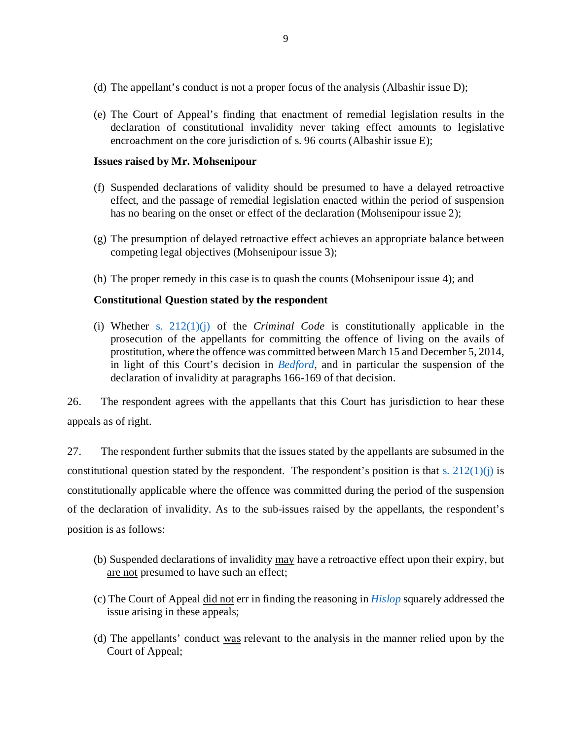- (d) The appellant's conduct is not a proper focus of the analysis (Albashir issue D);
- (e) The Court of Appeal's finding that enactment of remedial legislation results in the declaration of constitutional invalidity never taking effect amounts to legislative encroachment on the core jurisdiction of s. 96 courts (Albashir issue E);

## <span id="page-12-0"></span>**Issues raised by Mr. Mohsenipour**

- (f) Suspended declarations of validity should be presumed to have a delayed retroactive effect, and the passage of remedial legislation enacted within the period of suspension has no bearing on the onset or effect of the declaration (Mohsenipour issue 2);
- (g) The presumption of delayed retroactive effect achieves an appropriate balance between competing legal objectives (Mohsenipour issue 3);
- (h) The proper remedy in this case is to quash the counts (Mohsenipour issue 4); and

# <span id="page-12-1"></span>**Constitutional Question stated by the respondent**

(i) Whether [s. 212\(1\)\(j\)](https://laws-lois.justice.gc.ca/eng/acts/C-46/section-212-20051101.html) of the *Criminal Code* is constitutionally applicable in the prosecution of the appellants for committing the offence of living on the avails of prostitution, where the offence was committed between March 15 and December 5, 2014, in light of this Court's decision in *[Bedford](https://scc-csc.lexum.com/scc-csc/scc-csc/en/13389/1/document.do)*, and in particular the suspension of the declaration of invalidity at paragraphs 166-169 of that decision.

26. The respondent agrees with the appellants that this Court has jurisdiction to hear these appeals as of right.

27. The respondent further submits that the issues stated by the appellants are subsumed in the constitutional question stated by the respondent. The respondent's position is that s.  $212(1)(i)$  is constitutionally applicable where the offence was committed during the period of the suspension of the declaration of invalidity. As to the sub-issues raised by the appellants, the respondent's position is as follows:

- (b) Suspended declarations of invalidity may have a retroactive effect upon their expiry, but are not presumed to have such an effect;
- (c) The Court of Appeal did not err in finding the reasoning in *[Hislop](https://scc-csc.lexum.com/scc-csc/scc-csc/en/2346/1/document.do)* squarely addressed the issue arising in these appeals;
- (d) The appellants' conduct was relevant to the analysis in the manner relied upon by the Court of Appeal;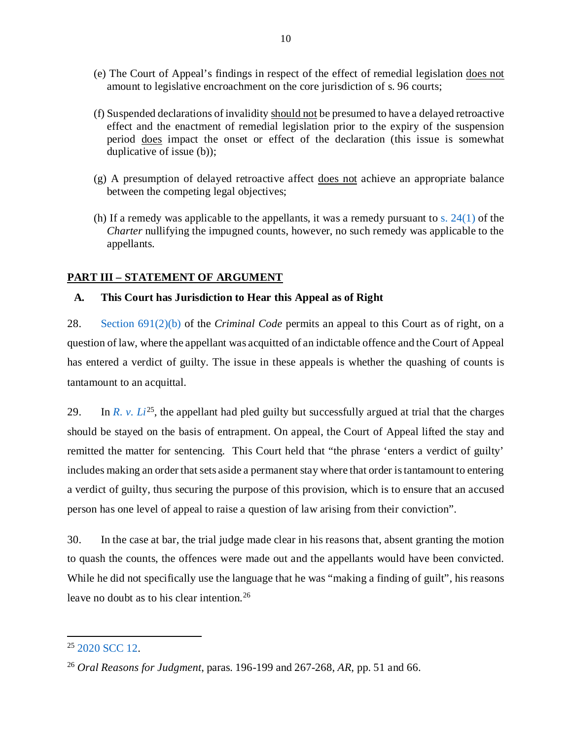- (e) The Court of Appeal's findings in respect of the effect of remedial legislation does not amount to legislative encroachment on the core jurisdiction of s. 96 courts;
- (f) Suspended declarations of invalidity should not be presumed to have a delayed retroactive effect and the enactment of remedial legislation prior to the expiry of the suspension period does impact the onset or effect of the declaration (this issue is somewhat duplicative of issue (b));
- (g) A presumption of delayed retroactive affect does not achieve an appropriate balance between the competing legal objectives;
- (h) If a remedy was applicable to the appellants, it was a remedy pursuant to s.  $24(1)$  of the *Charter* nullifying the impugned counts, however, no such remedy was applicable to the appellants.

# <span id="page-13-0"></span>**PART III – STATEMENT OF ARGUMENT**

# <span id="page-13-1"></span>**A. This Court has Jurisdiction to Hear this Appeal as of Right**

28. [Section 691\(2\)\(b\)](https://laws-lois.justice.gc.ca/eng/acts/c-46/page-176.html) of the *Criminal Code* permits an appeal to this Court as of right, on a question of law, where the appellant was acquitted of an indictable offence and the Court of Appeal has entered a verdict of guilty. The issue in these appeals is whether the quashing of counts is tantamount to an acquittal.

29. In *[R. v. Li](https://decisions.scc-csc.ca/scc-csc/scc-csc/en/18407/1/document.do)*<sup>[25](#page-13-2)</sup>, the appellant had pled guilty but successfully argued at trial that the charges should be stayed on the basis of entrapment. On appeal, the Court of Appeal lifted the stay and remitted the matter for sentencing. This Court held that "the phrase 'enters a verdict of guilty' includes making an order that sets aside a permanent stay where that order is tantamount to entering a verdict of guilty, thus securing the purpose of this provision, which is to ensure that an accused person has one level of appeal to raise a question of law arising from their conviction".

30. In the case at bar, the trial judge made clear in his reasons that, absent granting the motion to quash the counts, the offences were made out and the appellants would have been convicted. While he did not specifically use the language that he was "making a finding of guilt", his reasons leave no doubt as to his clear intention.<sup>[26](#page-13-3)</sup>

 $\overline{\phantom{a}}$ 

<span id="page-13-2"></span><sup>25</sup> [2020 SCC 12.](https://decisions.scc-csc.ca/scc-csc/scc-csc/en/18407/1/document.do)

<span id="page-13-3"></span><sup>26</sup> *Oral Reasons for Judgment*, paras. 196-199 and 267-268, *AR,* pp. 51 and 66.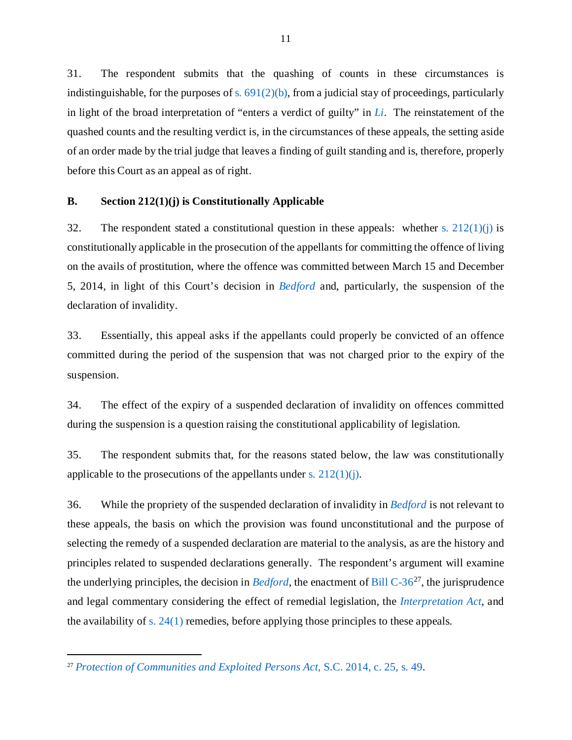31. The respondent submits that the quashing of counts in these circumstances is indistinguishable, for the purposes of s.  $691(2)(b)$ , from a judicial stay of proceedings, particularly in light of the broad interpretation of "enters a verdict of guilty" in *[Li](https://decisions.scc-csc.ca/scc-csc/scc-csc/en/18407/1/document.do)*. The reinstatement of the quashed counts and the resulting verdict is, in the circumstances of these appeals, the setting aside of an order made by the trial judge that leaves a finding of guilt standing and is, therefore, properly before this Court as an appeal as of right.

### <span id="page-14-0"></span>**B. Section 212(1)(j) is Constitutionally Applicable**

32. The respondent stated a constitutional question in these appeals: whether s.  $212(1)(i)$  is constitutionally applicable in the prosecution of the appellants for committing the offence of living on the avails of prostitution, where the offence was committed between March 15 and December 5, 2014, in light of this Court's decision in *[Bedford](https://scc-csc.lexum.com/scc-csc/scc-csc/en/13389/1/document.do)* and, particularly, the suspension of the declaration of invalidity.

33. Essentially, this appeal asks if the appellants could properly be convicted of an offence committed during the period of the suspension that was not charged prior to the expiry of the suspension.

34. The effect of the expiry of a suspended declaration of invalidity on offences committed during the suspension is a question raising the constitutional applicability of legislation.

35. The respondent submits that, for the reasons stated below, the law was constitutionally applicable to the prosecutions of the appellants under s.  $212(1)(i)$ .

36. While the propriety of the suspended declaration of invalidity in *[Bedford](https://scc-csc.lexum.com/scc-csc/scc-csc/en/13389/1/document.do)* is not relevant to these appeals, the basis on which the provision was found unconstitutional and the purpose of selecting the remedy of a suspended declaration are material to the analysis, as are the history and principles related to suspended declarations generally. The respondent's argument will examine the underlying principles, the decision in *[Bedford,](https://scc-csc.lexum.com/scc-csc/scc-csc/en/13389/1/document.do)* the enactment of [Bill C-36](https://www.parl.ca/DocumentViewer/en/41-2/bill/C-36/royal-assent)[27](#page-14-1), the jurisprudence and legal commentary considering the effect of remedial legislation, the *[Interpretation Act](https://laws-lois.justice.gc.ca/PDF/I-21.pdf)*, and the availability of [s. 24\(1\)](https://www.justice.gc.ca/eng/csj-sjc/rfc-dlc/ccrf-ccdl/check/art241.html) remedies, before applying those principles to these appeals.

 $\overline{\phantom{a}}$ 

<span id="page-14-1"></span><sup>27</sup> *[Protection of Communities and Exploited Persons Act](https://www.parl.ca/DocumentViewer/en/41-2/bill/C-36/royal-assent)*, S.C. 2014, c. 25, s. 49.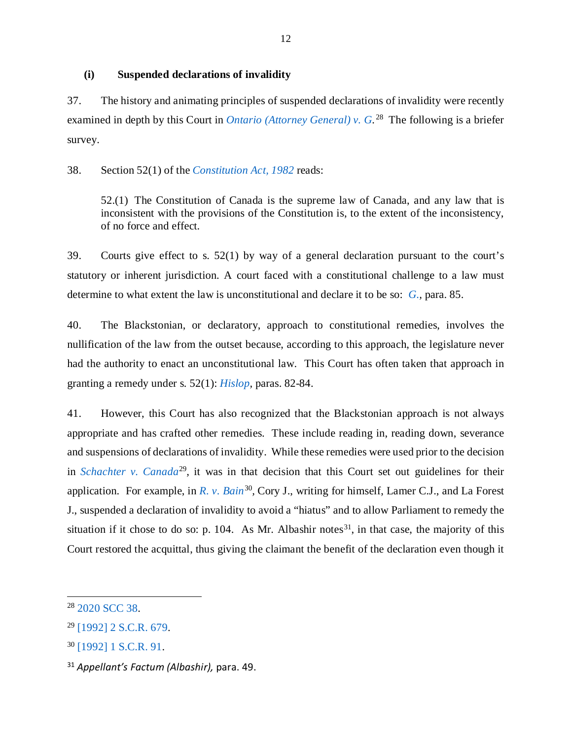## <span id="page-15-0"></span>**(i) Suspended declarations of invalidity**

37. The history and animating principles of suspended declarations of invalidity were recently examined in depth by this Court in *[Ontario \(Attorney General\) v. G.](https://decisions.scc-csc.ca/scc-csc/scc-csc/en/18563/1/document.do)* [28](#page-15-1) The following is a briefer survey.

38. Section 52(1) of the *[Constitution Act,](https://laws-lois.justice.gc.ca/PDF/CONST_E.pdf) 1982* reads:

52.(1) The Constitution of Canada is the supreme law of Canada, and any law that is inconsistent with the provisions of the Constitution is, to the extent of the inconsistency, of no force and effect.

39. Courts give effect to s. 52(1) by way of a general declaration pursuant to the court's statutory or inherent jurisdiction. A court faced with a constitutional challenge to a law must determine to what extent the law is unconstitutional and declare it to be so: *[G.,](https://decisions.scc-csc.ca/scc-csc/scc-csc/en/18563/1/document.do)* para. 85.

40. The Blackstonian, or declaratory, approach to constitutional remedies, involves the nullification of the law from the outset because, according to this approach, the legislature never had the authority to enact an unconstitutional law. This Court has often taken that approach in granting a remedy under s. 52(1): *[Hislop,](https://scc-csc.lexum.com/scc-csc/scc-csc/en/2346/1/document.do)* paras. 82-84.

41. However, this Court has also recognized that the Blackstonian approach is not always appropriate and has crafted other remedies. These include reading in, reading down, severance and suspensions of declarations of invalidity. While these remedies were used prior to the decision in *[Schachter v. Canada](https://scc-csc.lexum.com/scc-csc/scc-csc/en/903/1/document.do)*<sup>[29](#page-15-2)</sup>, it was in that decision that this Court set out guidelines for their application. For example, in *[R. v. Bain](https://scc-csc.lexum.com/scc-csc/scc-csc/en/830/1/document.do)*<sup>[30](#page-15-3)</sup>, Cory J., writing for himself, Lamer C.J., and La Forest J., suspended a declaration of invalidity to avoid a "hiatus" and to allow Parliament to remedy the situation if it chose to do so: p. 104. As Mr. Albashir notes<sup>[31](#page-15-4)</sup>, in that case, the majority of this Court restored the acquittal, thus giving the claimant the benefit of the declaration even though it

<span id="page-15-1"></span><sup>28</sup> [2020 SCC 38.](https://decisions.scc-csc.ca/scc-csc/scc-csc/en/18563/1/document.do)

<span id="page-15-2"></span><sup>29</sup> [\[1992\] 2 S.C.R. 679.](https://scc-csc.lexum.com/scc-csc/scc-csc/en/903/1/document.do)

<span id="page-15-3"></span><sup>30</sup> [\[1992\] 1 S.C.R. 91.](https://scc-csc.lexum.com/scc-csc/scc-csc/en/830/1/document.do)

<span id="page-15-4"></span><sup>31</sup> *Appellant's Factum (Albashir),* para. 49.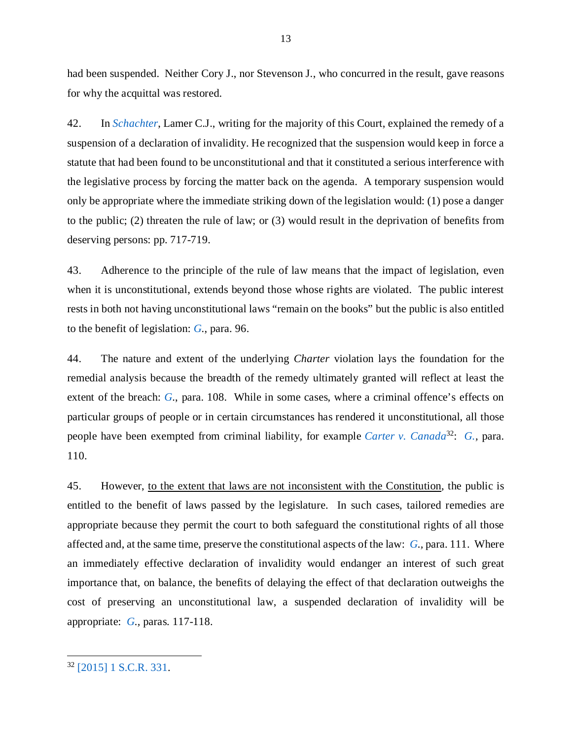had been suspended. Neither Cory J., nor Stevenson J., who concurred in the result, gave reasons for why the acquittal was restored.

42. In *[Schachter](https://scc-csc.lexum.com/scc-csc/scc-csc/en/903/1/document.do)*, Lamer C.J., writing for the majority of this Court, explained the remedy of a suspension of a declaration of invalidity. He recognized that the suspension would keep in force a statute that had been found to be unconstitutional and that it constituted a serious interference with the legislative process by forcing the matter back on the agenda. A temporary suspension would only be appropriate where the immediate striking down of the legislation would: (1) pose a danger to the public; (2) threaten the rule of law; or (3) would result in the deprivation of benefits from deserving persons: pp. 717-719.

43. Adherence to the principle of the rule of law means that the impact of legislation, even when it is unconstitutional, extends beyond those whose rights are violated. The public interest rests in both not having unconstitutional laws "remain on the books" but the public is also entitled to the benefit of legislation: *[G.](https://decisions.scc-csc.ca/scc-csc/scc-csc/en/18563/1/document.do)*, para. 96.

44. The nature and extent of the underlying *Charter* violation lays the foundation for the remedial analysis because the breadth of the remedy ultimately granted will reflect at least the extent of the breach: *G*., para. 108. While in some cases, where a criminal offence's effects on particular groups of people or in certain circumstances has rendered it unconstitutional, all those people have been exempted from criminal liability, for example *[Carter v. Canada](https://scc-csc.lexum.com/scc-csc/scc-csc/en/14637/1/document.do)*[32](#page-16-0): *[G.,](https://decisions.scc-csc.ca/scc-csc/scc-csc/en/18563/1/document.do)* para. 110.

45. However, to the extent that laws are not inconsistent with the Constitution, the public is entitled to the benefit of laws passed by the legislature. In such cases, tailored remedies are appropriate because they permit the court to both safeguard the constitutional rights of all those affected and, at the same time, preserve the constitutional aspects of the law: *[G.](https://decisions.scc-csc.ca/scc-csc/scc-csc/en/18563/1/document.do),* para. 111. Where an immediately effective declaration of invalidity would endanger an interest of such great importance that, on balance, the benefits of delaying the effect of that declaration outweighs the cost of preserving an unconstitutional law, a suspended declaration of invalidity will be appropriate: *[G.](https://decisions.scc-csc.ca/scc-csc/scc-csc/en/18563/1/document.do),* paras. 117-118.

<span id="page-16-0"></span><sup>32</sup> [\[2015\] 1 S.C.R. 331.](https://scc-csc.lexum.com/scc-csc/scc-csc/en/14637/1/document.do)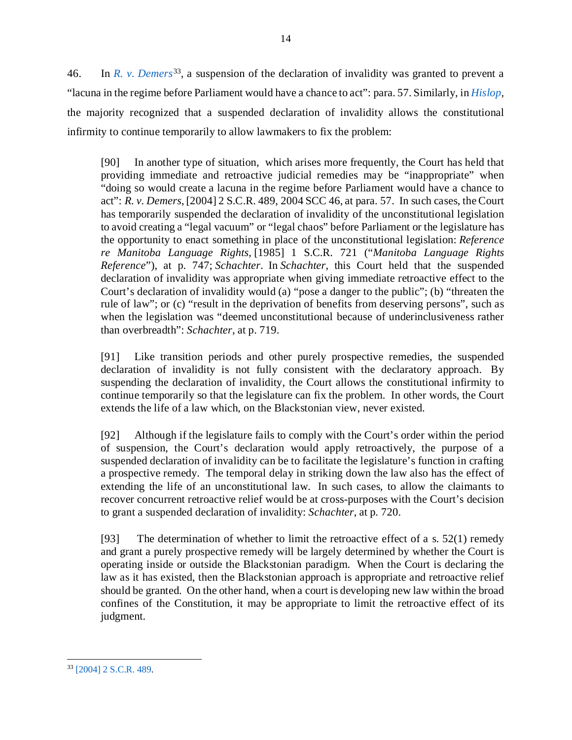46. In *[R. v. Demers](https://scc-csc.lexum.com/scc-csc/scc-csc/en/2160/1/document.do)*[33](#page-17-0)*,* a suspension of the declaration of invalidity was granted to prevent a "lacuna in the regime before Parliament would have a chance to act": para. 57. Similarly, in *[Hislop,](https://scc-csc.lexum.com/scc-csc/scc-csc/en/2346/1/document.do)*  the majority recognized that a suspended declaration of invalidity allows the constitutional infirmity to continue temporarily to allow lawmakers to fix the problem:

[90] In another type of situation, which arises more frequently, the Court has held that providing immediate and retroactive judicial remedies may be "inappropriate" when "doing so would create a lacuna in the regime before Parliament would have a chance to act": *R. v. Demers*, [2004] 2 S.C.R. 489, 2004 SCC 46, at para. 57. In such cases, the Court has temporarily suspended the declaration of invalidity of the unconstitutional legislation to avoid creating a "legal vacuum" or "legal chaos" before Parliament or the legislature has the opportunity to enact something in place of the unconstitutional legislation: *Reference re Manitoba Language Rights*, [1985] 1 S.C.R. 721 ("*Manitoba Language Rights Reference*"), at p. 747; *Schachter*. In *Schachter*, this Court held that the suspended declaration of invalidity was appropriate when giving immediate retroactive effect to the Court's declaration of invalidity would (a) "pose a danger to the public"; (b) "threaten the rule of law"; or (c) "result in the deprivation of benefits from deserving persons", such as when the legislation was "deemed unconstitutional because of underinclusiveness rather than overbreadth": *Schachter*, at p. 719.

[91] Like transition periods and other purely prospective remedies, the suspended declaration of invalidity is not fully consistent with the declaratory approach. By suspending the declaration of invalidity, the Court allows the constitutional infirmity to continue temporarily so that the legislature can fix the problem. In other words, the Court extends the life of a law which, on the Blackstonian view, never existed.

[92] Although if the legislature fails to comply with the Court's order within the period of suspension, the Court's declaration would apply retroactively, the purpose of a suspended declaration of invalidity can be to facilitate the legislature's function in crafting a prospective remedy. The temporal delay in striking down the law also has the effect of extending the life of an unconstitutional law. In such cases, to allow the claimants to recover concurrent retroactive relief would be at cross-purposes with the Court's decision to grant a suspended declaration of invalidity: *Schachter*, at p. 720.

[93] The determination of whether to limit the retroactive effect of a s. 52(1) remedy and grant a purely prospective remedy will be largely determined by whether the Court is operating inside or outside the Blackstonian paradigm. When the Court is declaring the law as it has existed, then the Blackstonian approach is appropriate and retroactive relief should be granted. On the other hand, when a court is developing new law within the broad confines of the Constitution, it may be appropriate to limit the retroactive effect of its judgment.

<span id="page-17-0"></span>l <sup>33</sup> [\[2004\] 2 S.C.R. 489.](https://scc-csc.lexum.com/scc-csc/scc-csc/en/2160/1/document.do)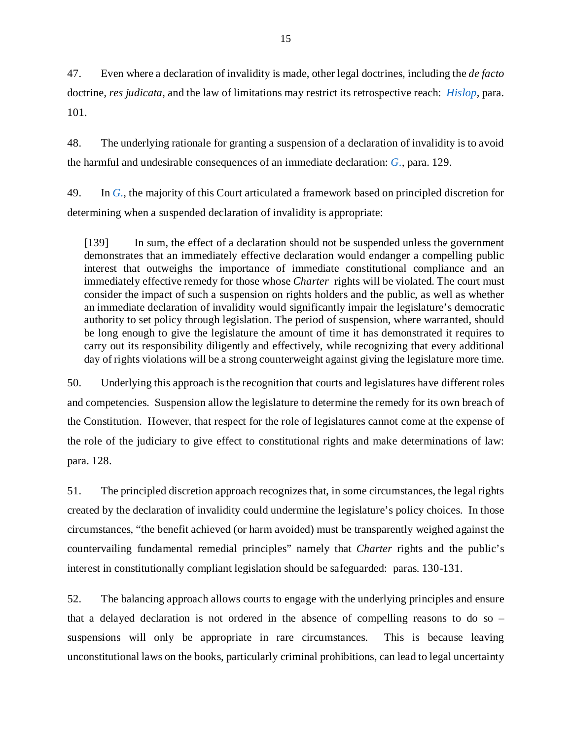47. Even where a declaration of invalidity is made, other legal doctrines, including the *de facto*  doctrine, *res judicata,* and the law of limitations may restrict its retrospective reach: *[Hislop,](https://scc-csc.lexum.com/scc-csc/scc-csc/en/2346/1/document.do)* para. 101.

48. The underlying rationale for granting a suspension of a declaration of invalidity is to avoid the harmful and undesirable consequences of an immediate declaration: *[G.,](https://decisions.scc-csc.ca/scc-csc/scc-csc/en/18563/1/document.do)* para. 129.

49. In *[G.,](https://decisions.scc-csc.ca/scc-csc/scc-csc/en/18563/1/document.do)* the majority of this Court articulated a framework based on principled discretion for determining when a suspended declaration of invalidity is appropriate:

[139] In sum, the effect of a declaration should not be suspended unless the government demonstrates that an immediately effective declaration would endanger a compelling public interest that outweighs the importance of immediate constitutional compliance and an immediately effective remedy for those whose *Charter* rights will be violated. The court must consider the impact of such a suspension on rights holders and the public, as well as whether an immediate declaration of invalidity would significantly impair the legislature's democratic authority to set policy through legislation. The period of suspension, where warranted, should be long enough to give the legislature the amount of time it has demonstrated it requires to carry out its responsibility diligently and effectively, while recognizing that every additional day of rights violations will be a strong counterweight against giving the legislature more time.

50. Underlying this approach is the recognition that courts and legislatures have different roles and competencies. Suspension allow the legislature to determine the remedy for its own breach of the Constitution. However, that respect for the role of legislatures cannot come at the expense of the role of the judiciary to give effect to constitutional rights and make determinations of law: para. 128.

51. The principled discretion approach recognizes that, in some circumstances, the legal rights created by the declaration of invalidity could undermine the legislature's policy choices. In those circumstances, "the benefit achieved (or harm avoided) must be transparently weighed against the countervailing fundamental remedial principles" namely that *Charter* rights and the public's interest in constitutionally compliant legislation should be safeguarded: paras. 130-131.

52. The balancing approach allows courts to engage with the underlying principles and ensure that a delayed declaration is not ordered in the absence of compelling reasons to do so – suspensions will only be appropriate in rare circumstances. This is because leaving unconstitutional laws on the books, particularly criminal prohibitions, can lead to legal uncertainty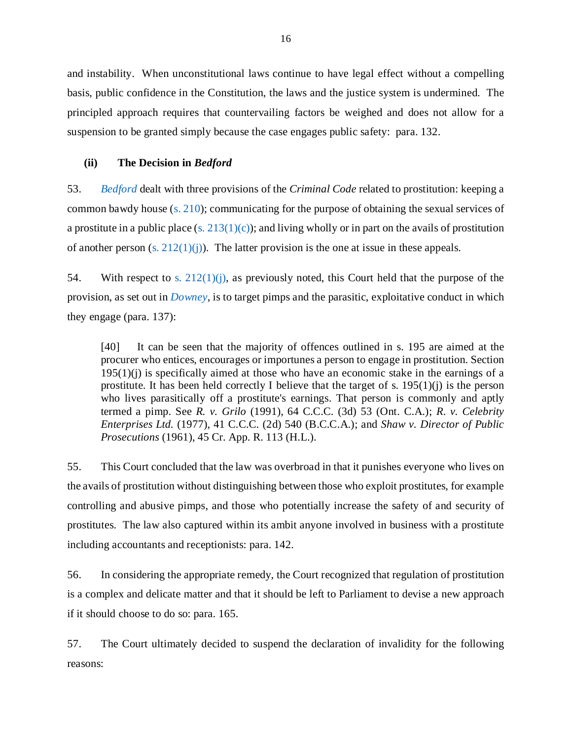and instability. When unconstitutional laws continue to have legal effect without a compelling basis, public confidence in the Constitution, the laws and the justice system is undermined. The principled approach requires that countervailing factors be weighed and does not allow for a suspension to be granted simply because the case engages public safety: para. 132.

# <span id="page-19-0"></span>**(ii) The Decision in** *Bedford*

53. *[Bedford](https://scc-csc.lexum.com/scc-csc/scc-csc/en/13389/1/document.do)* dealt with three provisions of the *Criminal Code* related to prostitution: keeping a common bawdy house [\(s. 210\)](https://laws-lois.justice.gc.ca/eng/acts/c-46/section-210-20030101.html); communicating for the purpose of obtaining the sexual services of a prostitute in a public place (s.  $213(1)(c)$ ); and living wholly or in part on the avails of prostitution of another person (s.  $212(1)(j)$ ). The latter provision is the one at issue in these appeals.

54. With respect to s.  $212(1)(i)$ , as previously noted, this Court held that the purpose of the provision, as set out in *[Downey](https://scc-csc.lexum.com/scc-csc/scc-csc/en/879/1/document.do)*, is to target pimps and the parasitic, exploitative conduct in which they engage (para. 137):

[40] It can be seen that the majority of offences outlined in s. 195 are aimed at the procurer who entices, encourages or importunes a person to engage in prostitution. Section  $195(1)(i)$  is specifically aimed at those who have an economic stake in the earnings of a prostitute. It has been held correctly I believe that the target of s.  $195(1)(i)$  is the person who lives parasitically off a prostitute's earnings. That person is commonly and aptly termed a pimp. See *R. v. Grilo* (1991), 64 C.C.C. (3d) 53 (Ont. C.A.); *R. v. Celebrity Enterprises Ltd.* (1977), 41 C.C.C. (2d) 540 (B.C.C.A.); and *Shaw v. Director of Public Prosecutions* (1961), 45 Cr. App. R. 113 (H.L.).

55. This Court concluded that the law was overbroad in that it punishes everyone who lives on the avails of prostitution without distinguishing between those who exploit prostitutes, for example controlling and abusive pimps, and those who potentially increase the safety of and security of prostitutes. The law also captured within its ambit anyone involved in business with a prostitute including accountants and receptionists: para. 142.

56. In considering the appropriate remedy, the Court recognized that regulation of prostitution is a complex and delicate matter and that it should be left to Parliament to devise a new approach if it should choose to do so: para. 165.

57. The Court ultimately decided to suspend the declaration of invalidity for the following reasons: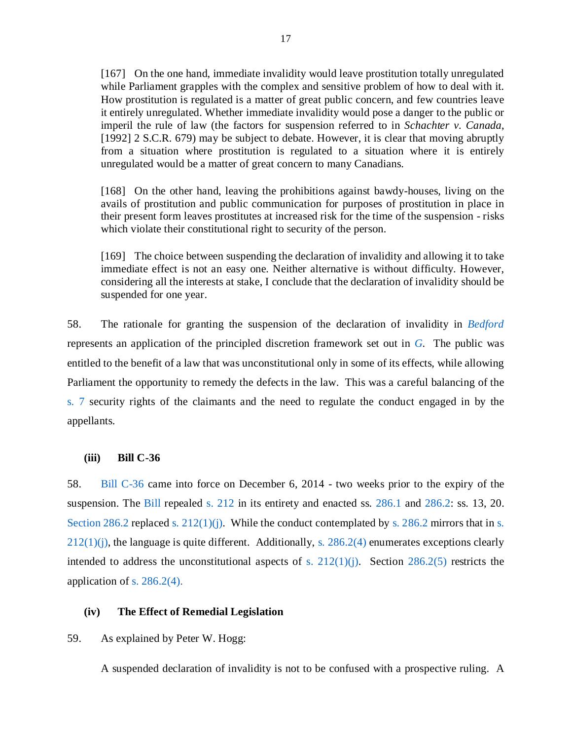[167] On the one hand, immediate invalidity would leave prostitution totally unregulated while Parliament grapples with the complex and sensitive problem of how to deal with it. How prostitution is regulated is a matter of great public concern, and few countries leave it entirely unregulated. Whether immediate invalidity would pose a danger to the public or imperil the rule of law (the factors for suspension referred to in *Schachter v. Canada*, [1992] 2 S.C.R. 679) may be subject to debate. However, it is clear that moving abruptly from a situation where prostitution is regulated to a situation where it is entirely unregulated would be a matter of great concern to many Canadians.

[168] On the other hand, leaving the prohibitions against bawdy-houses, living on the avails of prostitution and public communication for purposes of prostitution in place in their present form leaves prostitutes at increased risk for the time of the suspension - risks which violate their constitutional right to security of the person.

[169] The choice between suspending the declaration of invalidity and allowing it to take immediate effect is not an easy one. Neither alternative is without difficulty. However, considering all the interests at stake, I conclude that the declaration of invalidity should be suspended for one year.

58. The rationale for granting the suspension of the declaration of invalidity in *[Bedford](https://scc-csc.lexum.com/scc-csc/scc-csc/en/13389/1/document.do)* represents an application of the principled discretion framework set out in *[G.](https://decisions.scc-csc.ca/scc-csc/scc-csc/en/18563/1/document.do)* The public was entitled to the benefit of a law that was unconstitutional only in some of its effects, while allowing Parliament the opportunity to remedy the defects in the law. This was a careful balancing of the [s. 7](https://www.justice.gc.ca/eng/csj-sjc/rfc-dlc/ccrf-ccdl/check/art7.html) security rights of the claimants and the need to regulate the conduct engaged in by the appellants.

## <span id="page-20-0"></span>**(iii) Bill C-36**

58. [Bill C-36](https://www.parl.ca/DocumentViewer/en/41-2/bill/C-36/royal-assent) came into force on December 6, 2014 - two weeks prior to the expiry of the suspension. The [Bill](https://www.parl.ca/DocumentViewer/en/41-2/bill/C-36/royal-assent) repealed [s. 212](https://laws-lois.justice.gc.ca/eng/acts/C-46/section-212-20051101.html) in its entirety and enacted ss. [286.1](https://laws-lois.justice.gc.ca/eng/acts/c-46/section-286.1-20190919.html) and [286.2:](https://laws-lois.justice.gc.ca/eng/annualstatutes/2014_25/FullText.html#:%7E:text=286.2%20(1)%20Everyone%20who%20receives,not%20more%20than%2010%20years.) ss. 13, 20. [Section 286.2](https://laws-lois.justice.gc.ca/eng/annualstatutes/2014_25/FullText.html#:%7E:text=286.2%20(1)%20Everyone%20who%20receives,not%20more%20than%2010%20years.) replaced [s. 212\(1\)\(j\).](https://laws-lois.justice.gc.ca/eng/acts/C-46/section-212-20051101.html) While the conduct contemplated by [s. 286.2](https://laws-lois.justice.gc.ca/eng/annualstatutes/2014_25/FullText.html#:%7E:text=286.2%20(1)%20Everyone%20who%20receives,not%20more%20than%2010%20years.) mirrors that in [s.](https://laws-lois.justice.gc.ca/eng/acts/C-46/section-212-20051101.html)  $212(1)(j)$ , the language is quite different. Additionally, s.  $286.2(4)$  enumerates exceptions clearly intended to address the unconstitutional aspects of s.  $212(1)(i)$ . Section  $286.2(5)$  restricts the application of s.  $286.2(4)$ .

### <span id="page-20-1"></span>**(iv) The Effect of Remedial Legislation**

59. As explained by Peter W. Hogg:

A suspended declaration of invalidity is not to be confused with a prospective ruling. A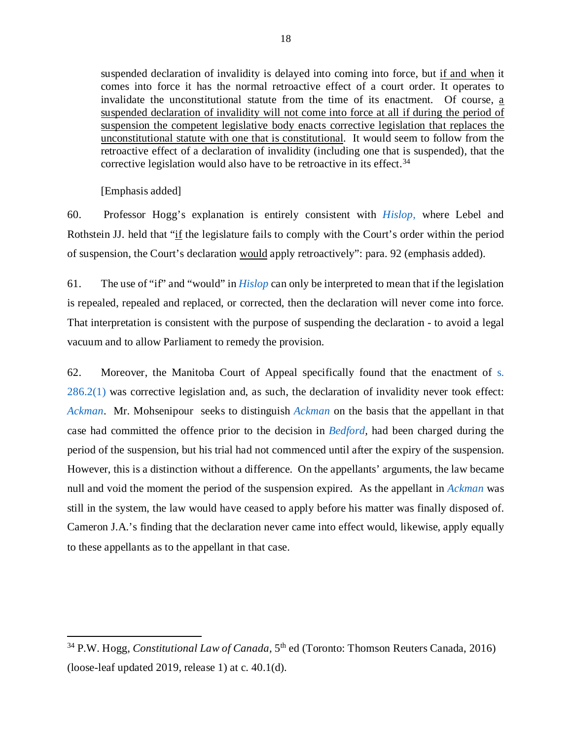suspended declaration of invalidity is delayed into coming into force, but if and when it comes into force it has the normal retroactive effect of a court order. It operates to invalidate the unconstitutional statute from the time of its enactment. Of course, a suspended declaration of invalidity will not come into force at all if during the period of suspension the competent legislative body enacts corrective legislation that replaces the unconstitutional statute with one that is constitutional. It would seem to follow from the retroactive effect of a declaration of invalidity (including one that is suspended), that the corrective legislation would also have to be retroactive in its effect.<sup>[34](#page-21-0)</sup>

[Emphasis added]

 $\overline{\phantom{a}}$ 

60. Professor Hogg's explanation is entirely consistent with *[Hislop,](https://scc-csc.lexum.com/scc-csc/scc-csc/en/2346/1/document.do)* where Lebel and Rothstein JJ. held that "if the legislature fails to comply with the Court's order within the period of suspension, the Court's declaration would apply retroactively": para. 92 (emphasis added).

61. The use of "if" and "would" in *[Hislop](https://scc-csc.lexum.com/scc-csc/scc-csc/en/2346/1/document.do)* can only be interpreted to mean that if the legislation is repealed, repealed and replaced, or corrected, then the declaration will never come into force. That interpretation is consistent with the purpose of suspending the declaration - to avoid a legal vacuum and to allow Parliament to remedy the provision.

62. Moreover, the Manitoba Court of Appeal specifically found that the enactment of [s.](https://laws-lois.justice.gc.ca/eng/annualstatutes/2014_25/FullText.html#:%7E:text=286.2%20(1)%20Everyone%20who%20receives,not%20more%20than%2010%20years.)  [286.2\(1\)](https://laws-lois.justice.gc.ca/eng/annualstatutes/2014_25/FullText.html#:%7E:text=286.2%20(1)%20Everyone%20who%20receives,not%20more%20than%2010%20years.) was corrective legislation and, as such, the declaration of invalidity never took effect: *[Ackman](https://canlii.ca/t/h5p5j)*. Mr. Mohsenipour seeks to distinguish *[Ackman](https://canlii.ca/t/h5p5j)* on the basis that the appellant in that case had committed the offence prior to the decision in *[Bedford,](https://scc-csc.lexum.com/scc-csc/scc-csc/en/13389/1/document.do)* had been charged during the period of the suspension, but his trial had not commenced until after the expiry of the suspension. However, this is a distinction without a difference. On the appellants' arguments, the law became null and void the moment the period of the suspension expired. As the appellant in *[Ackman](https://canlii.ca/t/h5p5j)* was still in the system, the law would have ceased to apply before his matter was finally disposed of. Cameron J.A.'s finding that the declaration never came into effect would, likewise, apply equally to these appellants as to the appellant in that case.

<span id="page-21-0"></span><sup>34</sup> P.W. Hogg, *Constitutional Law of Canada,* 5th ed (Toronto: Thomson Reuters Canada, 2016) (loose-leaf updated 2019, release 1) at c. 40.1(d).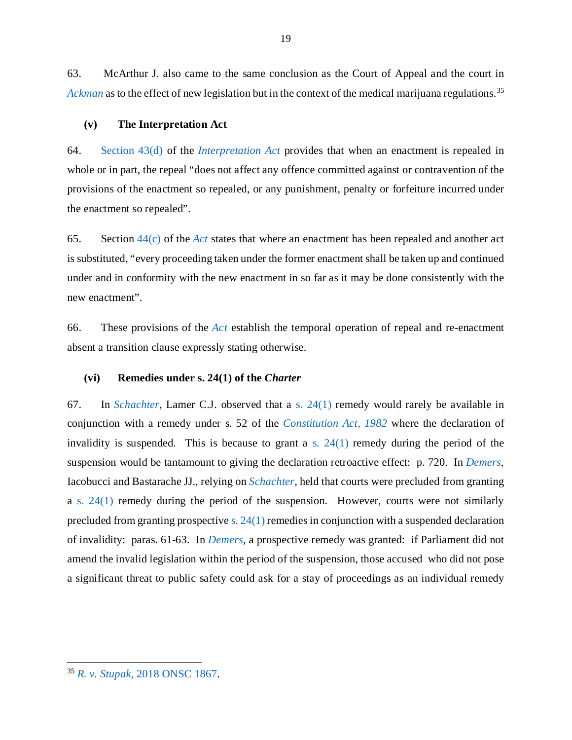63. McArthur J. also came to the same conclusion as the Court of Appeal and the court in *[Ackman](https://canlii.ca/t/h5p5j)* as to the effect of new legislation but in the context of the medical marijuana regulations. [35](#page-22-2)

#### <span id="page-22-0"></span>**(v) The Interpretation Act**

64. [Section 43\(d\)](https://laws-lois.justice.gc.ca/eng/acts/i-21/page-5.html#h-279607) of the *[Interpretation Act](https://laws-lois.justice.gc.ca/PDF/I-21.pdf)* provides that when an enactment is repealed in whole or in part, the repeal "does not affect any offence committed against or contravention of the provisions of the enactment so repealed, or any punishment, penalty or forfeiture incurred under the enactment so repealed".

65. Section [44\(c\)](https://laws-lois.justice.gc.ca/eng/acts/i-21/page-6.html#h-279653) of the *[Act](https://laws-lois.justice.gc.ca/PDF/I-21.pdf)* states that where an enactment has been repealed and another act is substituted, "every proceeding taken under the former enactment shall be taken up and continued under and in conformity with the new enactment in so far as it may be done consistently with the new enactment".

66. These provisions of the *[Act](https://laws-lois.justice.gc.ca/PDF/I-21.pdf)* establish the temporal operation of repeal and re-enactment absent a transition clause expressly stating otherwise.

#### <span id="page-22-1"></span>**(vi) Remedies under s. 24(1) of the** *Charter*

67. In *[Schachter,](https://scc-csc.lexum.com/scc-csc/scc-csc/en/903/1/document.do)* Lamer C.J. observed that a [s. 24\(1\)](https://www.justice.gc.ca/eng/csj-sjc/rfc-dlc/ccrf-ccdl/check/art241.html) remedy would rarely be available in conjunction with a remedy under s. 52 of the *[Constitution Act, 1982](https://laws-lois.justice.gc.ca/PDF/CONST_E.pdf)* where the declaration of invalidity is suspended. This is because to grant a s.  $24(1)$  remedy during the period of the suspension would be tantamount to giving the declaration retroactive effect: p. 720*.* In *[Demers,](https://decisions.scc-csc.ca/scc-csc/scc-csc/en/2160/1/document.do)*  Iacobucci and Bastarache JJ., relying on *[Schachter](https://scc-csc.lexum.com/scc-csc/scc-csc/en/903/1/document.do)*, held that courts were precluded from granting a [s. 24\(1\)](https://www.justice.gc.ca/eng/csj-sjc/rfc-dlc/ccrf-ccdl/check/art241.html) remedy during the period of the suspension. However, courts were not similarly precluded from granting prospective s.  $24(1)$  remedies in conjunction with a suspended declaration of invalidity: paras. 61-63. In *[Demers](https://decisions.scc-csc.ca/scc-csc/scc-csc/en/2160/1/document.do)*, a prospective remedy was granted: if Parliament did not amend the invalid legislation within the period of the suspension, those accused who did not pose a significant threat to public safety could ask for a stay of proceedings as an individual remedy

 $\overline{\phantom{a}}$ 

<span id="page-22-2"></span><sup>35</sup> *R. v. Stupak*[, 2018 ONSC 1867.](https://canlii.ca/t/hr5gr)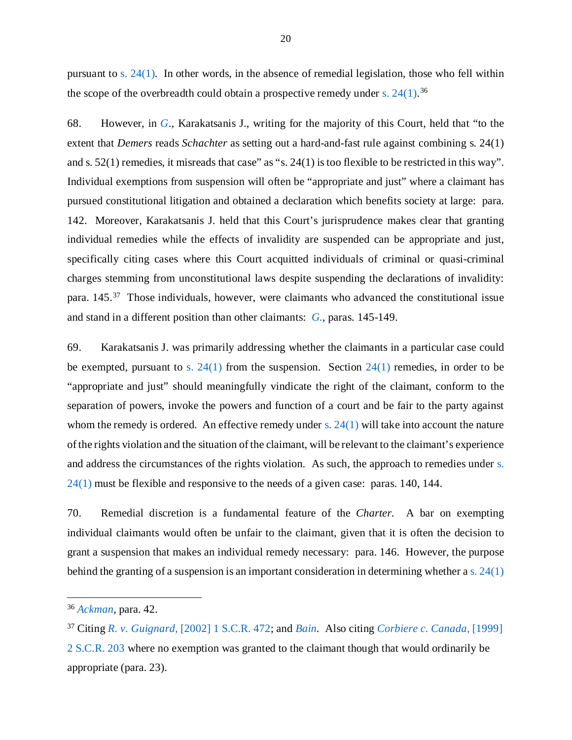pursuant to [s. 24\(1\)](https://www.justice.gc.ca/eng/csj-sjc/rfc-dlc/ccrf-ccdl/check/art241.html)*.* In other words, in the absence of remedial legislation, those who fell within the scope of the overbreadth could obtain a prospective remedy under s.  $24(1).^{36}$  $24(1).^{36}$  $24(1).^{36}$ 

68. However, in *[G.](https://decisions.scc-csc.ca/scc-csc/scc-csc/en/18563/1/document.do)*, Karakatsanis J., writing for the majority of this Court, held that "to the extent that *Demers* reads *Schachter* as setting out a hard-and-fast rule against combining s. 24(1) and s. 52(1) remedies, it misreads that case" as "s. 24(1) is too flexible to be restricted in this way". Individual exemptions from suspension will often be "appropriate and just" where a claimant has pursued constitutional litigation and obtained a declaration which benefits society at large: para. 142. Moreover, Karakatsanis J. held that this Court's jurisprudence makes clear that granting individual remedies while the effects of invalidity are suspended can be appropriate and just, specifically citing cases where this Court acquitted individuals of criminal or quasi-criminal charges stemming from unconstitutional laws despite suspending the declarations of invalidity: para. 145.[37](#page-23-1) Those individuals, however, were claimants who advanced the constitutional issue and stand in a different position than other claimants: *[G.,](https://decisions.scc-csc.ca/scc-csc/scc-csc/en/18563/1/document.do)* paras. 145-149.

69. Karakatsanis J. was primarily addressing whether the claimants in a particular case could be exempted, pursuant to [s. 24\(1\)](https://www.justice.gc.ca/eng/csj-sjc/rfc-dlc/ccrf-ccdl/check/art241.html) from the suspension. Section  $24(1)$  remedies, in order to be "appropriate and just" should meaningfully vindicate the right of the claimant, conform to the separation of powers, invoke the powers and function of a court and be fair to the party against whom the remedy is ordered. An effective remedy under s.  $24(1)$  will take into account the nature of the rights violation and the situation of the claimant, will be relevant to the claimant's experience and address the circumstances of the rights violation. As such, the approach to remedies under [s.](https://www.justice.gc.ca/eng/csj-sjc/rfc-dlc/ccrf-ccdl/check/art241.html)  [24\(1\)](https://www.justice.gc.ca/eng/csj-sjc/rfc-dlc/ccrf-ccdl/check/art241.html) must be flexible and responsive to the needs of a given case: paras. 140, 144.

70. Remedial discretion is a fundamental feature of the *Charter.* A bar on exempting individual claimants would often be unfair to the claimant, given that it is often the decision to grant a suspension that makes an individual remedy necessary: para. 146. However, the purpose behind the granting of a suspension is an important consideration in determining whether a [s. 24\(1\)](https://www.justice.gc.ca/eng/csj-sjc/rfc-dlc/ccrf-ccdl/check/art241.html)

<span id="page-23-0"></span><sup>36</sup> *[Ackman,](https://canlii.ca/t/h5p5j)* para. 42.

<span id="page-23-1"></span><sup>37</sup> Citing *R. v. Guignard,* [\[2002\] 1 S.C.R. 472;](https://decisions.scc-csc.ca/scc-csc/scc-csc/en/1951/1/document.do) and *[Bain.](https://scc-csc.lexum.com/scc-csc/scc-csc/en/830/1/document.do)* Also citing *[Corbiere c. Canada,](https://decisions.scc-csc.ca/scc-csc/scc-csc/en/1704/1/document.do)* [1999] [2 S.C.R. 203](https://decisions.scc-csc.ca/scc-csc/scc-csc/en/1704/1/document.do) where no exemption was granted to the claimant though that would ordinarily be appropriate (para. 23).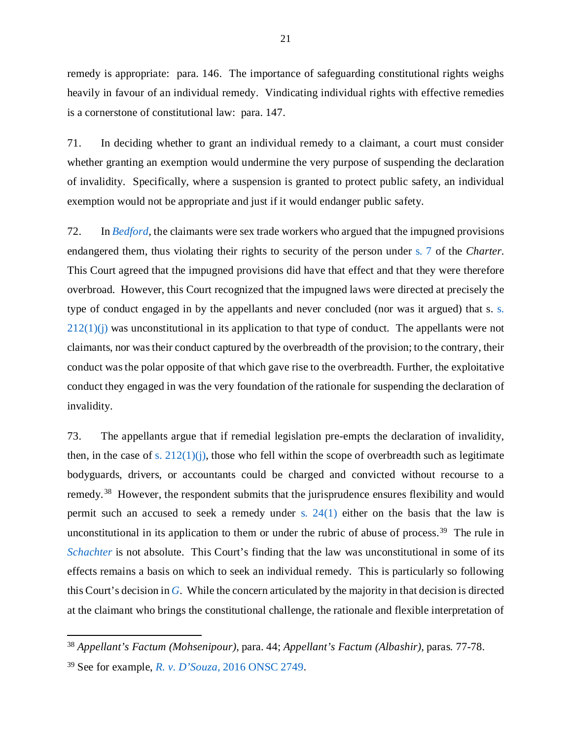remedy is appropriate: para. 146. The importance of safeguarding constitutional rights weighs heavily in favour of an individual remedy. Vindicating individual rights with effective remedies is a cornerstone of constitutional law: para. 147.

71. In deciding whether to grant an individual remedy to a claimant, a court must consider whether granting an exemption would undermine the very purpose of suspending the declaration of invalidity. Specifically, where a suspension is granted to protect public safety, an individual exemption would not be appropriate and just if it would endanger public safety.

72. In *[Bedford,](https://scc-csc.lexum.com/scc-csc/scc-csc/en/13389/1/document.do)* the claimants were sex trade workers who argued that the impugned provisions endangered them, thus violating their rights to security of the person under [s. 7](https://www.justice.gc.ca/eng/csj-sjc/rfc-dlc/ccrf-ccdl/check/art7.html) of the *Charter.*  This Court agreed that the impugned provisions did have that effect and that they were therefore overbroad. However, this Court recognized that the impugned laws were directed at precisely the type of conduct engaged in by the appellants and never concluded (nor was it argued) that s. [s.](https://laws-lois.justice.gc.ca/eng/acts/C-46/section-212-20051101.html)   $212(1)(i)$  was unconstitutional in its application to that type of conduct. The appellants were not claimants, nor was their conduct captured by the overbreadth of the provision; to the contrary, their conduct was the polar opposite of that which gave rise to the overbreadth. Further, the exploitative conduct they engaged in was the very foundation of the rationale for suspending the declaration of invalidity.

73. The appellants argue that if remedial legislation pre-empts the declaration of invalidity, then, in the case of s.  $212(1)(i)$ , those who fell within the scope of overbreadth such as legitimate bodyguards, drivers, or accountants could be charged and convicted without recourse to a remedy.<sup>38</sup> However, the respondent submits that the jurisprudence ensures flexibility and would permit such an accused to seek a remedy under [s. 24\(1\)](https://www.justice.gc.ca/eng/csj-sjc/rfc-dlc/ccrf-ccdl/check/art241.html) either on the basis that the law is unconstitutional in its application to them or under the rubric of abuse of process.<sup>39</sup> The rule in *[Schachter](https://scc-csc.lexum.com/scc-csc/scc-csc/en/903/1/document.do)* is not absolute. This Court's finding that the law was unconstitutional in some of its effects remains a basis on which to seek an individual remedy. This is particularly so following this Court's decision in *[G.](https://decisions.scc-csc.ca/scc-csc/scc-csc/en/18563/1/document.do)* While the concern articulated by the majority in that decision is directed at the claimant who brings the constitutional challenge, the rationale and flexible interpretation of

 $\overline{a}$ 

<span id="page-24-0"></span><sup>38</sup> *Appellant's Factum (Mohsenipour),* para. 44; *Appellant's Factum (Albashir),* paras. 77-78.

<span id="page-24-1"></span><sup>39</sup> See for example, *R. v. D'Souza,* [2016 ONSC 2749](https://www.canlii.org/en/on/onsc/doc/2016/2016onsc2749/2016onsc2749.pdf).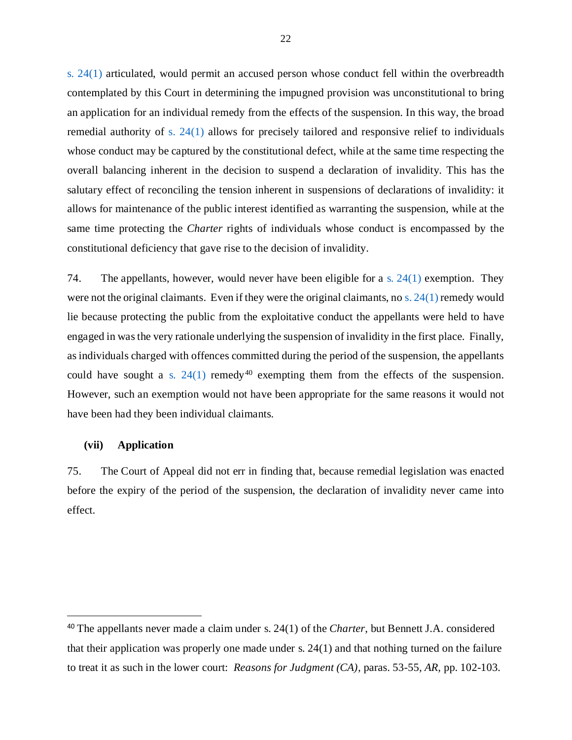[s. 24\(1\)](https://www.justice.gc.ca/eng/csj-sjc/rfc-dlc/ccrf-ccdl/check/art241.html) articulated, would permit an accused person whose conduct fell within the overbreadth contemplated by this Court in determining the impugned provision was unconstitutional to bring an application for an individual remedy from the effects of the suspension. In this way, the broad remedial authority of [s. 24\(1\)](https://www.justice.gc.ca/eng/csj-sjc/rfc-dlc/ccrf-ccdl/check/art241.html) allows for precisely tailored and responsive relief to individuals whose conduct may be captured by the constitutional defect, while at the same time respecting the overall balancing inherent in the decision to suspend a declaration of invalidity. This has the salutary effect of reconciling the tension inherent in suspensions of declarations of invalidity: it allows for maintenance of the public interest identified as warranting the suspension, while at the same time protecting the *Charter* rights of individuals whose conduct is encompassed by the constitutional deficiency that gave rise to the decision of invalidity.

74. The appellants, however, would never have been eligible for a s.  $24(1)$  exemption. They were not the original claimants. Even if they were the original claimants, no [s. 24\(1\)](https://www.justice.gc.ca/eng/csj-sjc/rfc-dlc/ccrf-ccdl/check/art241.html) remedy would lie because protecting the public from the exploitative conduct the appellants were held to have engaged in was the very rationale underlying the suspension of invalidity in the first place. Finally, as individuals charged with offences committed during the period of the suspension, the appellants could have sought a s.  $24(1)$  remedy<sup>[40](#page-25-1)</sup> exempting them from the effects of the suspension. However, such an exemption would not have been appropriate for the same reasons it would not have been had they been individual claimants.

### <span id="page-25-0"></span>**(vii) Application**

l

75. The Court of Appeal did not err in finding that, because remedial legislation was enacted before the expiry of the period of the suspension, the declaration of invalidity never came into effect.

<span id="page-25-1"></span><sup>40</sup> The appellants never made a claim under s. 24(1) of the *Charter*, but Bennett J.A. considered that their application was properly one made under s. 24(1) and that nothing turned on the failure to treat it as such in the lower court: *Reasons for Judgment (CA),* paras. 53-55*, AR,* pp. 102-103*.*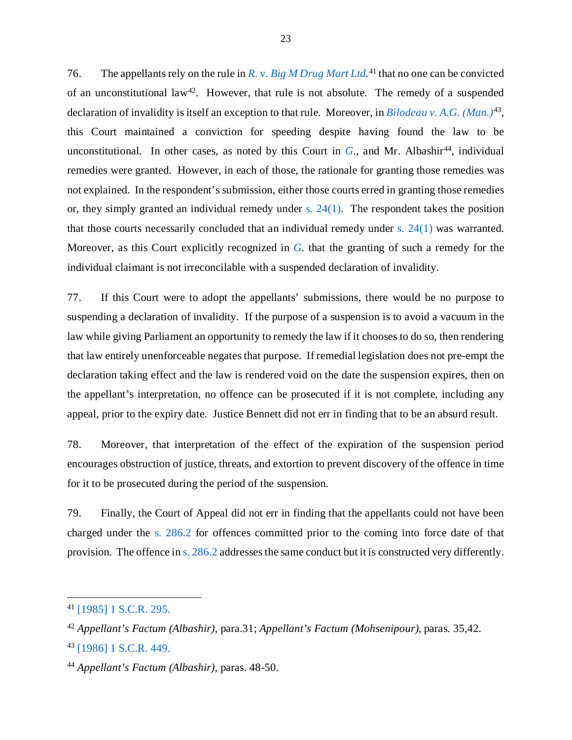76. The appellants rely on the rule in *R*. v. *[Big M Drug Mart Ltd.](https://scc-csc.lexum.com/scc-csc/scc-csc/en/43/1/document.do)* [41](#page-26-0) that no one can be convicted of an unconstitutional law<sup>42</sup>. However, that rule is not absolute. The remedy of a suspended declaration of invalidity is itself an exception to that rule. Moreover, in *[Bilodeau v. A.G. \(Man.\)](https://scc-csc.lexum.com/scc-csc/scc-csc/en/136/1/document.do)*[43,](#page-26-2) this Court maintained a conviction for speeding despite having found the law to be unconstitutional. In other cases, as noted by this Court in  $G_n$  $G_n$ , and Mr. Albashir<sup>[44](#page-26-3)</sup>, individual remedies were granted. However, in each of those, the rationale for granting those remedies was not explained. In the respondent's submission, either those courts erred in granting those remedies or, they simply granted an individual remedy under s.  $24(1)$ . The respondent takes the position that those courts necessarily concluded that an individual remedy under s.  $24(1)$  was warranted. Moreover, as this Court explicitly recognized in *[G](https://decisions.scc-csc.ca/scc-csc/scc-csc/en/18563/1/document.do)*. that the granting of such a remedy for the individual claimant is not irreconcilable with a suspended declaration of invalidity.

77. If this Court were to adopt the appellants' submissions, there would be no purpose to suspending a declaration of invalidity. If the purpose of a suspension is to avoid a vacuum in the law while giving Parliament an opportunity to remedy the law if it chooses to do so, then rendering that law entirely unenforceable negates that purpose. If remedial legislation does not pre-empt the declaration taking effect and the law is rendered void on the date the suspension expires, then on the appellant's interpretation, no offence can be prosecuted if it is not complete, including any appeal, prior to the expiry date. Justice Bennett did not err in finding that to be an absurd result.

78. Moreover, that interpretation of the effect of the expiration of the suspension period encourages obstruction of justice, threats, and extortion to prevent discovery of the offence in time for it to be prosecuted during the period of the suspension.

79. Finally, the Court of Appeal did not err in finding that the appellants could not have been charged under the [s. 286.2](https://laws-lois.justice.gc.ca/eng/annualstatutes/2014_25/FullText.html#:%7E:text=286.2%20(1)%20Everyone%20who%20receives,not%20more%20than%2010%20years.) for offences committed prior to the coming into force date of that provision. The offence in [s. 286.2](https://laws-lois.justice.gc.ca/eng/annualstatutes/2014_25/FullText.html#:%7E:text=286.2%20(1)%20Everyone%20who%20receives,not%20more%20than%2010%20years.) addresses the same conduct but it is constructed very differently.

<span id="page-26-0"></span><sup>41</sup> [\[1985\] 1 S.C.R. 295.](https://scc-csc.lexum.com/scc-csc/scc-csc/en/43/1/document.do)

<span id="page-26-2"></span><span id="page-26-1"></span><sup>42</sup> *Appellant's Factum (Albashir)*, para.31; *Appellant's Factum (Mohsenipour),* paras. 35,42*.* <sup>43</sup> [\[1986\] 1 S.C.R. 449.](https://scc-csc.lexum.com/scc-csc/scc-csc/en/136/1/document.do)

<span id="page-26-3"></span><sup>44</sup> *Appellant's Factum (Albashir),* paras. 48-50.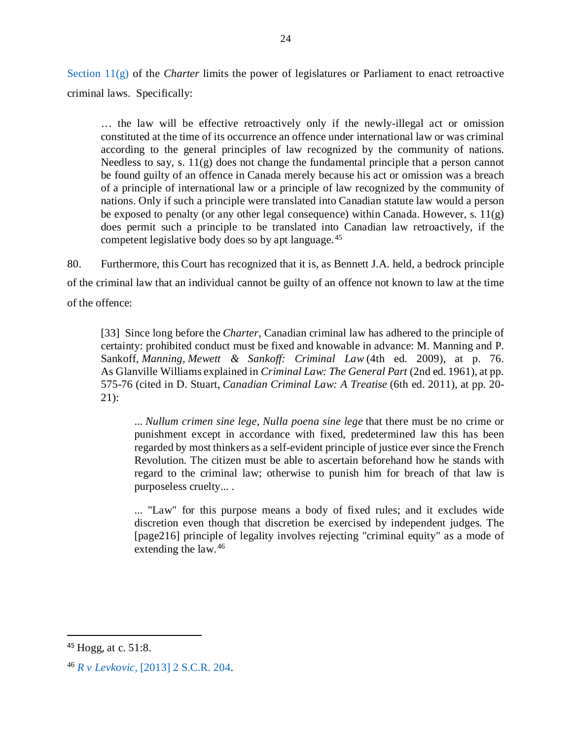[Section](https://www.justice.gc.ca/eng/csj-sjc/rfc-dlc/ccrf-ccdl/check/art11g.html)  $11(g)$  of the *Charter* limits the power of legislatures or Parliament to enact retroactive criminal laws. Specifically:

… the law will be effective retroactively only if the newly-illegal act or omission constituted at the time of its occurrence an offence under international law or was criminal according to the general principles of law recognized by the community of nations. Needless to say, s. 11(g) does not change the fundamental principle that a person cannot be found guilty of an offence in Canada merely because his act or omission was a breach of a principle of international law or a principle of law recognized by the community of nations. Only if such a principle were translated into Canadian statute law would a person be exposed to penalty (or any other legal consequence) within Canada. However, s.  $11(g)$ does permit such a principle to be translated into Canadian law retroactively, if the competent legislative body does so by apt language. [45](#page-27-0)

80. Furthermore, this Court has recognized that it is, as Bennett J.A. held, a bedrock principle of the criminal law that an individual cannot be guilty of an offence not known to law at the time of the offence:

[33] Since long before the *Charter*, Canadian criminal law has adhered to the principle of certainty: prohibited conduct must be fixed and knowable in advance: M. Manning and P. Sankoff, *Manning, Mewett & Sankoff: Criminal Law* (4th ed. 2009), at p. 76. As Glanville Williams explained in *Criminal Law: The General Part* (2nd ed. 1961), at pp. 575-76 (cited in D. Stuart, *Canadian Criminal Law: A Treatise* (6th ed. 2011), at pp. 20- 21):

... *Nullum crimen sine lege, Nulla poena sine lege* that there must be no crime or punishment except in accordance with fixed, predetermined law this has been regarded by most thinkers as a self-evident principle of justice ever since the French Revolution. The citizen must be able to ascertain beforehand how he stands with regard to the criminal law; otherwise to punish him for breach of that law is purposeless cruelty... .

... "Law" for this purpose means a body of fixed rules; and it excludes wide discretion even though that discretion be exercised by independent judges. The [page216] principle of legality involves rejecting "criminal equity" as a mode of extending the law. [46](#page-27-1)

<span id="page-27-0"></span> <sup>45</sup> Hogg, at c. 51:8.

<span id="page-27-1"></span><sup>46</sup> *R v Levkovic*[, \[2013\] 2 S.C.R. 204.](https://decisions.scc-csc.ca/scc-csc/scc-csc/en/13031/1/document.do)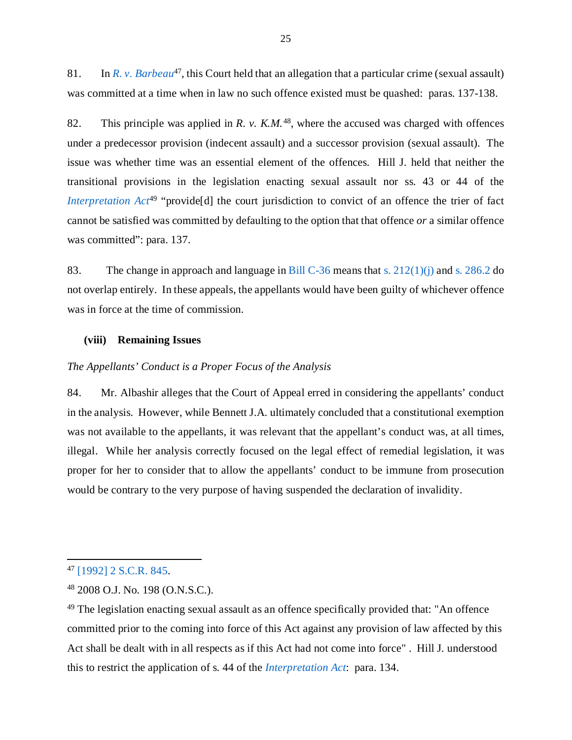81. In *[R. v. Barbeau](https://decisions.scc-csc.ca/scc-csc/scc-csc/en/905/1/document.do)*[47](#page-28-2), this Court held that an allegation that a particular crime (sexual assault) was committed at a time when in law no such offence existed must be quashed: paras. 137-138.

82. This principle was applied in *R. v. K.M.*[48](#page-28-3), where the accused was charged with offences under a predecessor provision (indecent assault) and a successor provision (sexual assault). The issue was whether time was an essential element of the offences. Hill J. held that neither the transitional provisions in the legislation enacting sexual assault nor ss. 43 or 44 of the *[Interpretation Act](https://laws-lois.justice.gc.ca/PDF/I-21.pdf)*<sup>[49](#page-28-4)</sup> "provide<sup>[d]</sup> the court jurisdiction to convict of an offence the trier of fact cannot be satisfied was committed by defaulting to the option that that offence *or* a similar offence was committed": para. 137.

83. The change in approach and language in [Bill C-36](https://www.parl.ca/DocumentViewer/en/41-2/bill/C-36/royal-assent) means that [s. 212\(1\)\(j\)](https://laws-lois.justice.gc.ca/eng/acts/C-46/section-212-20051101.html) and [s. 286.2](https://laws-lois.justice.gc.ca/eng/annualstatutes/2014_25/FullText.html#:%7E:text=286.2%20(1)%20Everyone%20who%20receives,not%20more%20than%2010%20years.) do not overlap entirely. In these appeals, the appellants would have been guilty of whichever offence was in force at the time of commission.

### <span id="page-28-0"></span>**(viii) Remaining Issues**

#### <span id="page-28-1"></span>*The Appellants' Conduct is a Proper Focus of the Analysis*

84. Mr. Albashir alleges that the Court of Appeal erred in considering the appellants' conduct in the analysis. However, while Bennett J.A. ultimately concluded that a constitutional exemption was not available to the appellants, it was relevant that the appellant's conduct was, at all times, illegal. While her analysis correctly focused on the legal effect of remedial legislation, it was proper for her to consider that to allow the appellants' conduct to be immune from prosecution would be contrary to the very purpose of having suspended the declaration of invalidity.

 $\overline{a}$ 

<span id="page-28-2"></span><sup>47</sup> [\[1992\] 2 S.C.R. 845.](https://decisions.scc-csc.ca/scc-csc/scc-csc/en/905/1/document.do)

<span id="page-28-3"></span><sup>48</sup> 2008 O.J. No. 198 (O.N.S.C.).

<span id="page-28-4"></span><sup>49</sup> The legislation enacting sexual assault as an offence specifically provided that: "An offence committed prior to the coming into force of this Act against any provision of law affected by this Act shall be dealt with in all respects as if this Act had not come into force" . Hill J. understood this to restrict the application of s. 44 of the *[Interpretation Act](https://laws-lois.justice.gc.ca/PDF/I-21.pdf)*: para. 134.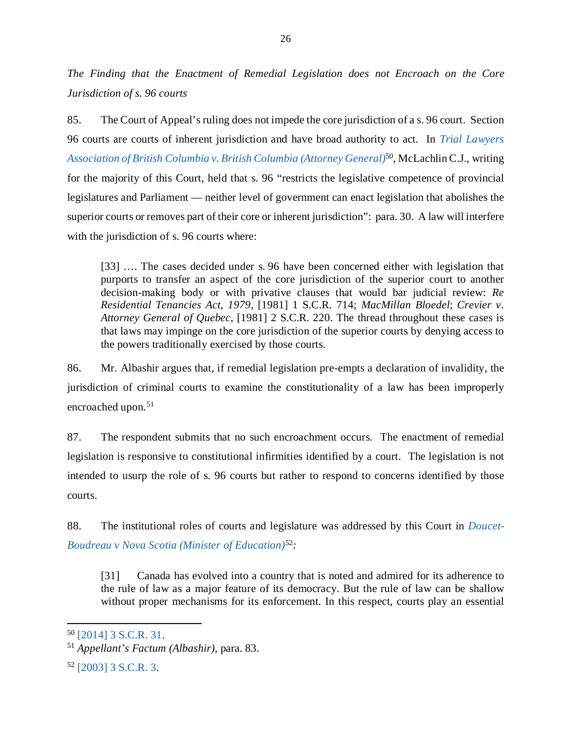<span id="page-29-0"></span>*The Finding that the Enactment of Remedial Legislation does not Encroach on the Core Jurisdiction of s. 96 courts*

85. The Court of Appeal's ruling does not impede the core jurisdiction of a s. 96 court. Section 96 courts are courts of inherent jurisdiction and have broad authority to act. In *[Trial Lawyers](https://decisions.scc-csc.ca/scc-csc/scc-csc/en/14375/1/document.do)  [Association of British Columbia v. British Columbia \(Attorney General\)](https://decisions.scc-csc.ca/scc-csc/scc-csc/en/14375/1/document.do)*[50](#page-29-1)*,* McLachlin C.J., writing for the majority of this Court, held that s. 96 "restricts the legislative competence of provincial legislatures and Parliament — neither level of government can enact legislation that abolishes the superior courts or removes part of their core or inherent jurisdiction": para. 30. A law will interfere with the jurisdiction of s. 96 courts where:

[33] …. The cases decided under s. 96 have been concerned either with legislation that purports to transfer an aspect of the core jurisdiction of the superior court to another decision-making body or with privative clauses that would bar judicial review: *Re Residential Tenancies Act, 1979*, [1981] 1 S.C.R. 714; *MacMillan Bloedel*; *Crevier v. Attorney General of Quebec*, [1981] 2 S.C.R. 220. The thread throughout these cases is that laws may impinge on the core jurisdiction of the superior courts by denying access to the powers traditionally exercised by those courts.

86. Mr. Albashir argues that, if remedial legislation pre-empts a declaration of invalidity, the jurisdiction of criminal courts to examine the constitutionality of a law has been improperly encroached upon.<sup>[51](#page-29-2)</sup>

87. The respondent submits that no such encroachment occurs. The enactment of remedial legislation is responsive to constitutional infirmities identified by a court. The legislation is not intended to usurp the role of s. 96 courts but rather to respond to concerns identified by those courts.

88. The institutional roles of courts and legislature was addressed by this Court in *[Doucet-](https://decisions.scc-csc.ca/scc-csc/scc-csc/en/2096/1/document.do)[Boudreau v Nova Scotia \(Minister of Education\)](https://decisions.scc-csc.ca/scc-csc/scc-csc/en/2096/1/document.do)*[52](#page-29-3)*:*

[31] Canada has evolved into a country that is noted and admired for its adherence to the rule of law as a major feature of its democracy. But the rule of law can be shallow without proper mechanisms for its enforcement. In this respect, courts play an essential

<span id="page-29-1"></span><sup>50</sup> [\[2014\] 3 S.C.R. 31.](https://decisions.scc-csc.ca/scc-csc/scc-csc/en/14375/1/document.do)

<span id="page-29-2"></span><sup>51</sup> *Appellant's Factum (Albashir),* para. 83.

<span id="page-29-3"></span><sup>52</sup> [\[2003\] 3 S.C.R. 3.](https://decisions.scc-csc.ca/scc-csc/scc-csc/en/2096/1/document.do)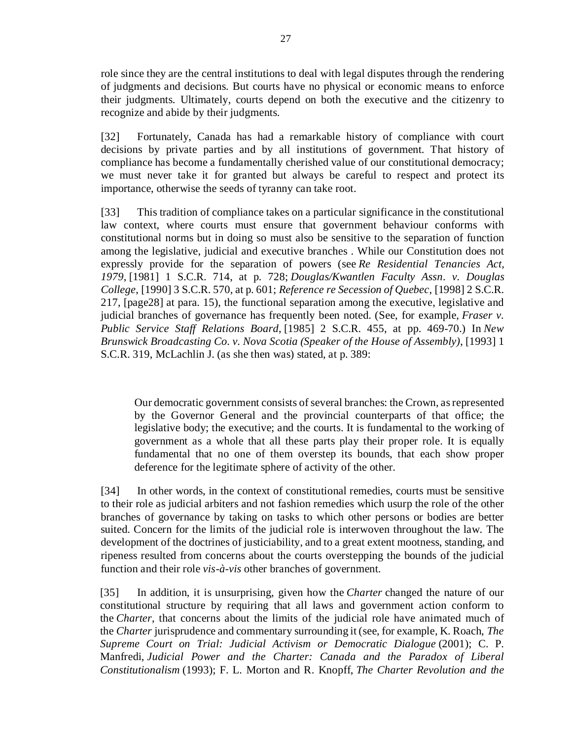role since they are the central institutions to deal with legal disputes through the rendering of judgments and decisions. But courts have no physical or economic means to enforce their judgments. Ultimately, courts depend on both the executive and the citizenry to recognize and abide by their judgments.

[32] Fortunately, Canada has had a remarkable history of compliance with court decisions by private parties and by all institutions of government. That history of compliance has become a fundamentally cherished value of our constitutional democracy; we must never take it for granted but always be careful to respect and protect its importance, otherwise the seeds of tyranny can take root.

[33] This tradition of compliance takes on a particular significance in the constitutional law context, where courts must ensure that government behaviour conforms with constitutional norms but in doing so must also be sensitive to the separation of function among the legislative, judicial and executive branches . While our Constitution does not expressly provide for the separation of powers (see *Re Residential Tenancies Act, 1979*, [1981] 1 S.C.R. 714, at p. 728; *Douglas/Kwantlen Faculty Assn. v. Douglas College*, [1990] 3 S.C.R. 570, at p. 601; *Reference re Secession of Quebec*, [1998] 2 S.C.R. 217, [page28] at para. 15), the functional separation among the executive, legislative and judicial branches of governance has frequently been noted. (See, for example, *Fraser v. Public Service Staff Relations Board*, [1985] 2 S.C.R. 455, at pp. 469-70.) In *New Brunswick Broadcasting Co. v. Nova Scotia (Speaker of the House of Assembly)*, [1993] 1 S.C.R. 319, McLachlin J. (as she then was) stated, at p. 389:

Our democratic government consists of several branches: the Crown, as represented by the Governor General and the provincial counterparts of that office; the legislative body; the executive; and the courts. It is fundamental to the working of government as a whole that all these parts play their proper role. It is equally fundamental that no one of them overstep its bounds, that each show proper deference for the legitimate sphere of activity of the other.

[34] In other words, in the context of constitutional remedies, courts must be sensitive to their role as judicial arbiters and not fashion remedies which usurp the role of the other branches of governance by taking on tasks to which other persons or bodies are better suited. Concern for the limits of the judicial role is interwoven throughout the law. The development of the doctrines of justiciability, and to a great extent mootness, standing, and ripeness resulted from concerns about the courts overstepping the bounds of the judicial function and their role *vis-à-vis* other branches of government.

[35] In addition, it is unsurprising, given how the *Charter* changed the nature of our constitutional structure by requiring that all laws and government action conform to the *Charter*, that concerns about the limits of the judicial role have animated much of the *Charter* jurisprudence and commentary surrounding it (see, for example, K. Roach, *The Supreme Court on Trial: Judicial Activism or Democratic Dialogue* (2001); C. P. Manfredi, *Judicial Power and the Charter: Canada and the Paradox of Liberal Constitutionalism* (1993); F. L. Morton and R. Knopff, *The Charter Revolution and the*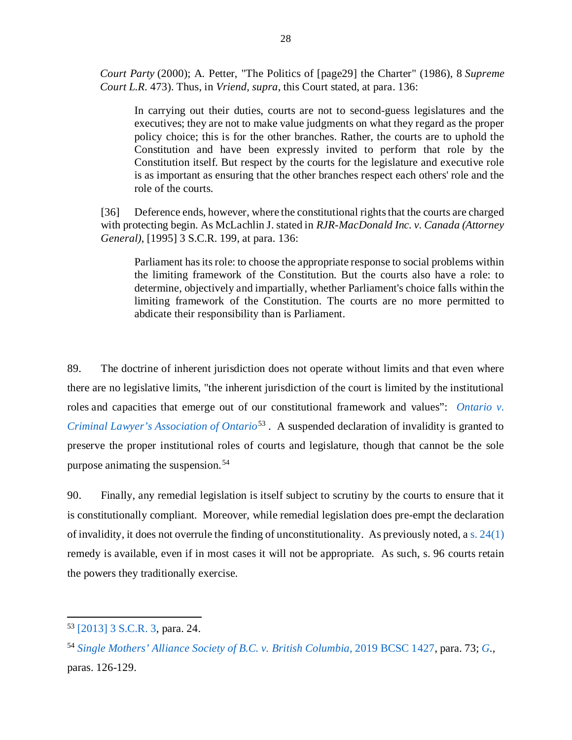*Court Party* (2000); A. Petter, "The Politics of [page29] the Charter" (1986), 8 *Supreme Court L.R.* 473). Thus, in *Vriend, supra*, this Court stated, at para. 136:

In carrying out their duties, courts are not to second-guess legislatures and the executives; they are not to make value judgments on what they regard as the proper policy choice; this is for the other branches. Rather, the courts are to uphold the Constitution and have been expressly invited to perform that role by the Constitution itself. But respect by the courts for the legislature and executive role is as important as ensuring that the other branches respect each others' role and the role of the courts.

[36] Deference ends, however, where the constitutional rights that the courts are charged with protecting begin. As McLachlin J. stated in *RJR-MacDonald Inc. v. Canada (Attorney General)*, [1995] 3 S.C.R. 199, at para. 136:

Parliament has its role: to choose the appropriate response to social problems within the limiting framework of the Constitution. But the courts also have a role: to determine, objectively and impartially, whether Parliament's choice falls within the limiting framework of the Constitution. The courts are no more permitted to abdicate their responsibility than is Parliament.

89. The doctrine of inherent jurisdiction does not operate without limits and that even where there are no legislative limits, "the inherent jurisdiction of the court is limited by the institutional roles and capacities that emerge out of our constitutional framework and values": *[Ontario v.](https://decisions.scc-csc.ca/scc-csc/scc-csc/en/2096/1/document.do)  [Criminal Lawyer's Association of Ontario](https://decisions.scc-csc.ca/scc-csc/scc-csc/en/2096/1/document.do)*[53](#page-31-0) . A suspended declaration of invalidity is granted to preserve the proper institutional roles of courts and legislature, though that cannot be the sole purpose animating the suspension. [54](#page-31-1)

90. Finally, any remedial legislation is itself subject to scrutiny by the courts to ensure that it is constitutionally compliant. Moreover, while remedial legislation does pre-empt the declaration of invalidity, it does not overrule the finding of unconstitutionality. As previously noted, a [s. 24\(1\)](https://www.justice.gc.ca/eng/csj-sjc/rfc-dlc/ccrf-ccdl/check/art241.html) remedy is available, even if in most cases it will not be appropriate. As such, s. 96 courts retain the powers they traditionally exercise.

<span id="page-31-0"></span><sup>53</sup> [\[2013\] 3 S.C.R. 3,](https://decisions.scc-csc.ca/scc-csc/scc-csc/en/2096/1/document.do) para. 24.

<span id="page-31-1"></span><sup>54</sup> *[Single Mothers' Alliance Society of B.C. v. British Columbia,](https://www.canlii.org/en/bc/bcsc/doc/2019/2019bcsc1427/2019bcsc1427.pdf)* 2019 BCSC 1427, para. 73; *[G.](https://decisions.scc-csc.ca/scc-csc/scc-csc/en/18563/1/document.do),*  paras. 126-129.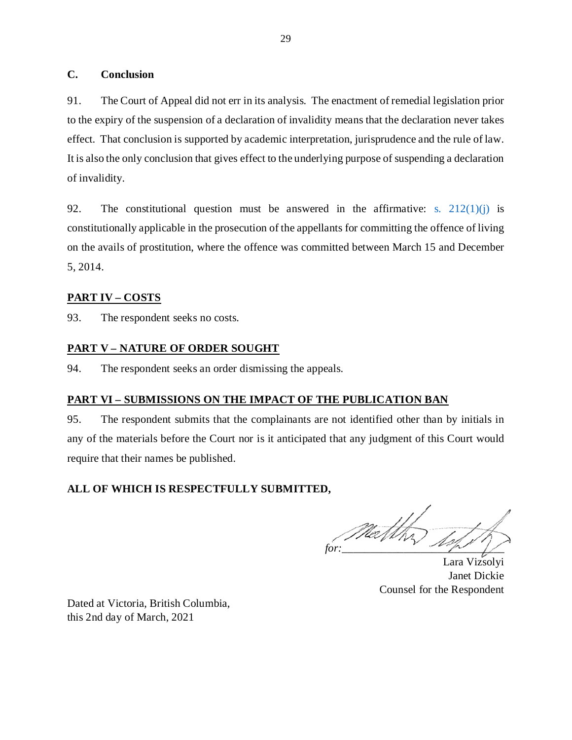# <span id="page-32-0"></span>**C. Conclusion**

91. The Court of Appeal did not err in its analysis. The enactment of remedial legislation prior to the expiry of the suspension of a declaration of invalidity means that the declaration never takes effect. That conclusion is supported by academic interpretation, jurisprudence and the rule of law. It is also the only conclusion that gives effect to the underlying purpose of suspending a declaration of invalidity.

92. The constitutional question must be answered in the affirmative: s.  $212(1)(i)$  is constitutionally applicable in the prosecution of the appellants for committing the offence of living on the avails of prostitution, where the offence was committed between March 15 and December 5, 2014.

# <span id="page-32-1"></span>**PART IV – COSTS**

93. The respondent seeks no costs.

# <span id="page-32-2"></span>**PART V – NATURE OF ORDER SOUGHT**

94. The respondent seeks an order dismissing the appeals.

# <span id="page-32-3"></span>**PART VI – SUBMISSIONS ON THE IMPACT OF THE PUBLICATION BAN**

95. The respondent submits that the complainants are not identified other than by initials in any of the materials before the Court nor is it anticipated that any judgment of this Court would require that their names be published.

# **ALL OF WHICH IS RESPECTFULLY SUBMITTED,**

*for:*\_\_\_\_\_\_\_\_\_\_\_\_\_\_\_\_\_\_\_\_\_\_\_\_\_\_\_\_\_

Lara Vizsolyi Janet Dickie Counsel for the Respondent

Dated at Victoria, British Columbia, this 2nd day of March, 2021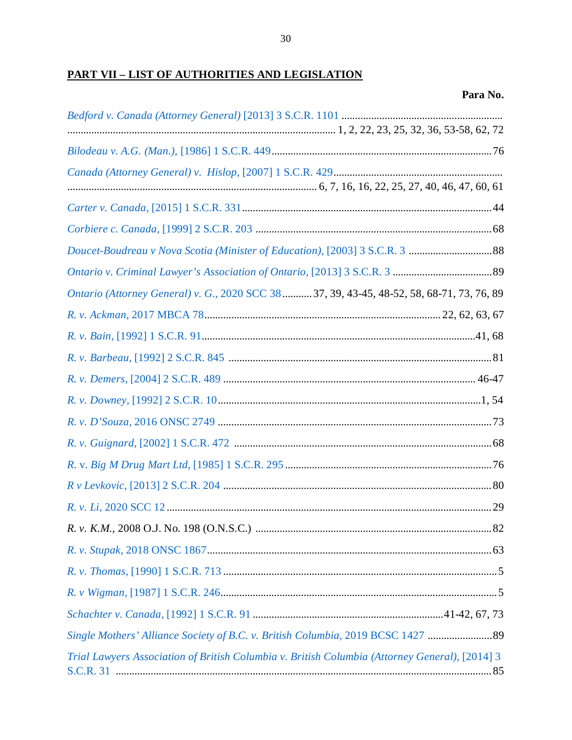# <span id="page-33-0"></span>**PART VII - LIST OF AUTHORITIES AND LEGISLATION**

| Ontario (Attorney General) v. G., 2020 SCC 38  37, 39, 43-45, 48-52, 58, 68-71, 73, 76, 89     |
|------------------------------------------------------------------------------------------------|
|                                                                                                |
|                                                                                                |
|                                                                                                |
|                                                                                                |
|                                                                                                |
|                                                                                                |
|                                                                                                |
|                                                                                                |
|                                                                                                |
|                                                                                                |
|                                                                                                |
|                                                                                                |
|                                                                                                |
|                                                                                                |
|                                                                                                |
| Single Mothers' Alliance Society of B.C. v. British Columbia, 2019 BCSC 1427  89               |
| Trial Lawyers Association of British Columbia v. British Columbia (Attorney General), [2014] 3 |